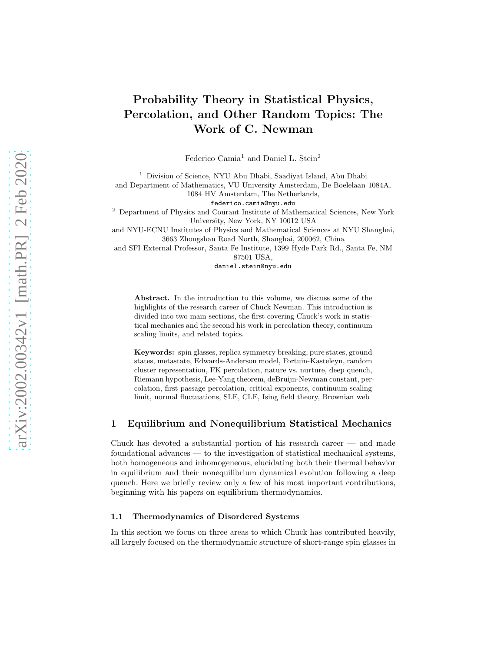# Probability Theory in Statistical Physics, Percolation, and Other Random Topics: The Work of C. Newman

Federico Camia<sup>1</sup> and Daniel L. Stein<sup>2</sup>

<sup>1</sup> Division of Science, NYU Abu Dhabi, Saadiyat Island, Abu Dhabi and Department of Mathematics, VU University Amsterdam, De Boelelaan 1084A, 1084 HV Amsterdam, The Netherlands,

federico.camia@nyu.edu

<sup>2</sup> Department of Physics and Courant Institute of Mathematical Sciences, New York University, New York, NY 10012 USA

and NYU-ECNU Institutes of Physics and Mathematical Sciences at NYU Shanghai, 3663 Zhongshan Road North, Shanghai, 200062, China

and SFI External Professor, Santa Fe Institute, 1399 Hyde Park Rd., Santa Fe, NM 87501 USA,

daniel.stein@nyu.edu

Abstract. In the introduction to this volume, we discuss some of the highlights of the research career of Chuck Newman. This introduction is divided into two main sections, the first covering Chuck's work in statistical mechanics and the second his work in percolation theory, continuum scaling limits, and related topics.

Keywords: spin glasses, replica symmetry breaking, pure states, ground states, metastate, Edwards-Anderson model, Fortuin-Kasteleyn, random cluster representation, FK percolation, nature vs. nurture, deep quench, Riemann hypothesis, Lee-Yang theorem, deBruijn-Newman constant, percolation, first passage percolation, critical exponents, continuum scaling limit, normal fluctuations, SLE, CLE, Ising field theory, Brownian web

# 1 Equilibrium and Nonequilibrium Statistical Mechanics

Chuck has devoted a substantial portion of his research career — and made foundational advances — to the investigation of statistical mechanical systems, both homogeneous and inhomogeneous, elucidating both their thermal behavior in equilibrium and their nonequilibrium dynamical evolution following a deep quench. Here we briefly review only a few of his most important contributions, beginning with his papers on equilibrium thermodynamics.

### 1.1 Thermodynamics of Disordered Systems

In this section we focus on three areas to which Chuck has contributed heavily, all largely focused on the thermodynamic structure of short-range spin glasses in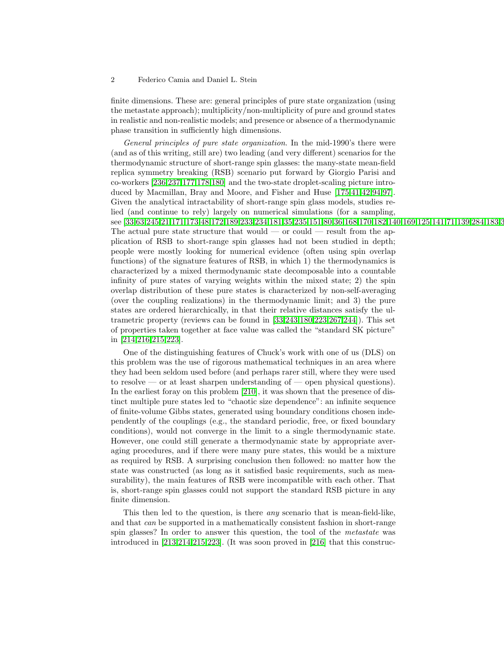finite dimensions. These are: general principles of pure state organization (using the metastate approach); multiplicity/non-multiplicity of pure and ground states in realistic and non-realistic models; and presence or absence of a thermodynamic phase transition in sufficiently high dimensions.

*General principles of pure state organization*. In the mid-1990's there were (and as of this writing, still are) two leading (and very different) scenarios for the thermodynamic structure of short-range spin glasses: the many-state mean-field replica symmetry breaking (RSB) scenario put forward by Giorgio Parisi and co-workers [\[236](#page-35-0)[,237,](#page-35-1)[177](#page-33-0)[,178](#page-33-1)[,180\]](#page-33-2) and the two-state droplet-scaling picture introduced by Macmillan, Bray and Moore, and Fisher and Huse [\[175,](#page-33-3)[41,](#page-27-0)[42](#page-27-1)[,94](#page-29-0)[,97\]](#page-29-1). Given the analytical intractability of short-range spin glass models, studies relied (and continue to rely) largely on numerical simulations (for a sampling, see [\[33](#page-26-0)[,63](#page-28-0)[,245,](#page-36-0)[21](#page-26-1)[,171](#page-32-0)[,173,](#page-33-4)[48,](#page-27-2)[172,](#page-32-1)[189](#page-33-5)[,233,](#page-35-2)[234](#page-35-3)[,181](#page-33-6)[,35,](#page-27-3)[235,](#page-35-4)[151](#page-31-0)[,80](#page-29-2)[,36,](#page-27-4)[168](#page-32-2)[,170](#page-32-3)[,182,](#page-33-7)[140,](#page-31-1)[169,](#page-32-4)[125](#page-30-0)[,141,](#page-31-2)[71](#page-28-1)[,139](#page-31-3)[,284,](#page-37-0)[183,](#page-33-8)3 The actual pure state structure that would — or could — result from the application of RSB to short-range spin glasses had not been studied in depth; people were mostly looking for numerical evidence (often using spin overlap functions) of the signature features of RSB, in which 1) the thermodynamics is characterized by a mixed thermodynamic state decomposable into a countable infinity of pure states of varying weights within the mixed state; 2) the spin overlap distribution of these pure states is characterized by non-self-averaging (over the coupling realizations) in the thermodynamic limit; and 3) the pure states are ordered hierarchically, in that their relative distances satisfy the ultrametric property (reviews can be found in [\[33,](#page-26-0)[243](#page-35-5)[,180](#page-33-2)[,223,](#page-35-6)[267](#page-36-1)[,244\]](#page-35-7)). This set of properties taken together at face value was called the "standard SK picture" in [\[214,](#page-34-0)[216,](#page-34-1)[215,](#page-34-2)[223\]](#page-35-6).

One of the distinguishing features of Chuck's work with one of us (DLS) on this problem was the use of rigorous mathematical techniques in an area where they had been seldom used before (and perhaps rarer still, where they were used to resolve — or at least sharpen understanding of — open physical questions). In the earliest foray on this problem [\[210\]](#page-34-3), it was shown that the presence of distinct multiple pure states led to "chaotic size dependence": an infinite sequence of finite-volume Gibbs states, generated using boundary conditions chosen independently of the couplings (e.g., the standard periodic, free, or fixed boundary conditions), would not converge in the limit to a single thermodynamic state. However, one could still generate a thermodynamic state by appropriate averaging procedures, and if there were many pure states, this would be a mixture as required by RSB. A surprising conclusion then followed: no matter how the state was constructed (as long as it satisfied basic requirements, such as measurability), the main features of RSB were incompatible with each other. That is, short-range spin glasses could not support the standard RSB picture in any finite dimension.

This then led to the question, is there *any* scenario that is mean-field-like, and that *can* be supported in a mathematically consistent fashion in short-range spin glasses? In order to answer this question, the tool of the *metastate* was introduced in [\[213](#page-34-4)[,214](#page-34-0)[,215](#page-34-2)[,223\]](#page-35-6). (It was soon proved in [\[216\]](#page-34-1) that this construc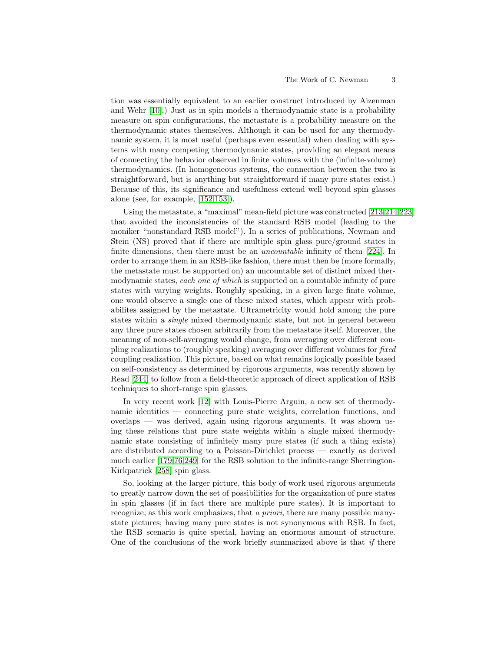tion was essentially equivalent to an earlier construct introduced by Aizenman and Wehr [\[10\]](#page-25-0).) Just as in spin models a thermodynamic state is a probability measure on spin configurations, the metastate is a probability measure on the thermodynamic states themselves. Although it can be used for any thermodynamic system, it is most useful (perhaps even essential) when dealing with systems with many competing thermodynamic states, providing an elegant means of connecting the behavior observed in finite volumes with the (infinite-volume) thermodynamics. (In homogeneous systems, the connection between the two is straightforward, but is anything but straightforward if many pure states exist.) Because of this, its significance and usefulness extend well beyond spin glasses alone (see, for example, [\[152](#page-32-5)[,153\]](#page-32-6)).

Using the metastate, a "maximal" mean-field picture was constructed [\[213](#page-34-4)[,214,](#page-34-0)[223\]](#page-35-6) that avoided the inconsistencies of the standard RSB model (leading to the moniker "nonstandard RSB model"). In a series of publications, Newman and Stein (NS) proved that if there are multiple spin glass pure/ground states in finite dimensions, then there must be an *uncountable* infinity of them [\[224\]](#page-35-8). In order to arrange them in an RSB-like fashion, there must then be (more formally, the metastate must be supported on) an uncountable set of distinct mixed thermodynamic states, *each one of which* is supported on a countable infinity of pure states with varying weights. Roughly speaking, in a given large finite volume, one would observe a single one of these mixed states, which appear with probabilites assigned by the metastate. Ultrametricity would hold among the pure states within a *single* mixed thermodynamic state, but not in general between any three pure states chosen arbitrarily from the metastate itself. Moreover, the meaning of non-self-averaging would change, from averaging over different coupling realizations to (roughly speaking) averaging over different volumes for *fixed* coupling realization. This picture, based on what remains logically possible based on self-consistency as determined by rigorous arguments, was recently shown by Read [\[244\]](#page-35-7) to follow from a field-theoretic approach of direct application of RSB techniques to short-range spin glasses.

In very recent work [\[12\]](#page-25-1) with Louis-Pierre Arguin, a new set of thermodynamic identities — connecting pure state weights, correlation functions, and overlaps — was derived, again using rigorous arguments. It was shown using these relations that pure state weights within a single mixed thermodynamic state consisting of infinitely many pure states (if such a thing exists) are distributed according to a Poisson-Dirichlet process — exactly as derived much earlier [\[179,](#page-33-9)[76](#page-28-2)[,249\]](#page-36-2) for the RSB solution to the infinite-range Sherrington-Kirkpatrick [\[258\]](#page-36-3) spin glass.

So, looking at the larger picture, this body of work used rigorous arguments to greatly narrow down the set of possibilities for the organization of pure states in spin glasses (if in fact there are multiple pure states). It is important to recognize, as this work emphasizes, that *a priori*, there are many possible manystate pictures; having many pure states is not synonymous with RSB. In fact, the RSB scenario is quite special, having an enormous amount of structure. One of the conclusions of the work briefly summarized above is that *if* there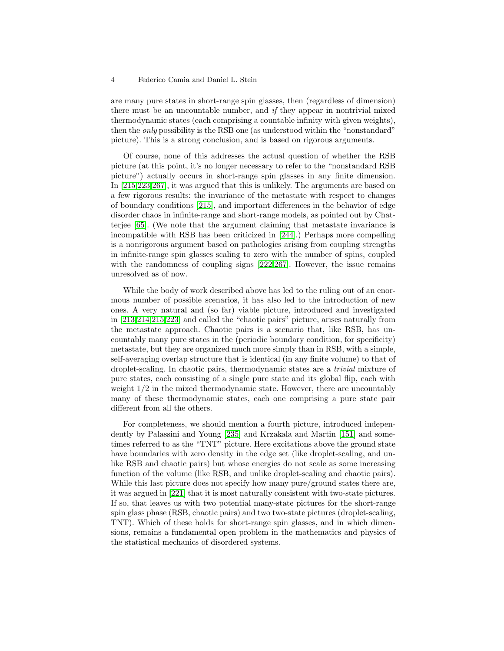are many pure states in short-range spin glasses, then (regardless of dimension) there must be an uncountable number, and *if* they appear in nontrivial mixed thermodynamic states (each comprising a countable infinity with given weights), then the *only* possibility is the RSB one (as understood within the "nonstandard" picture). This is a strong conclusion, and is based on rigorous arguments.

Of course, none of this addresses the actual question of whether the RSB picture (at this point, it's no longer necessary to refer to the "nonstandard RSB picture") actually occurs in short-range spin glasses in any finite dimension. In [\[215,](#page-34-2)[223](#page-35-6)[,267\]](#page-36-1), it was argued that this is unlikely. The arguments are based on a few rigorous results: the invariance of the metastate with respect to changes of boundary conditions [\[215\]](#page-34-2), and important differences in the behavior of edge disorder chaos in infinite-range and short-range models, as pointed out by Chatterjee [\[65\]](#page-28-3). (We note that the argument claiming that metastate invariance is incompatible with RSB has been criticized in [\[244\]](#page-35-7).) Perhaps more compelling is a nonrigorous argument based on pathologies arising from coupling strengths in infinite-range spin glasses scaling to zero with the number of spins, coupled with the randomness of coupling signs [\[222,](#page-35-9)[267\]](#page-36-1). However, the issue remains unresolved as of now.

While the body of work described above has led to the ruling out of an enormous number of possible scenarios, it has also led to the introduction of new ones. A very natural and (so far) viable picture, introduced and investigated in [\[213,](#page-34-4)[214,](#page-34-0)[215](#page-34-2)[,223\]](#page-35-6) and called the "chaotic pairs" picture, arises naturally from the metastate approach. Chaotic pairs is a scenario that, like RSB, has uncountably many pure states in the (periodic boundary condition, for specificity) metastate, but they are organized much more simply than in RSB, with a simple, self-averaging overlap structure that is identical (in any finite volume) to that of droplet-scaling. In chaotic pairs, thermodynamic states are a *trivial* mixture of pure states, each consisting of a single pure state and its global flip, each with weight  $1/2$  in the mixed thermodynamic state. However, there are uncountably many of these thermodynamic states, each one comprising a pure state pair different from all the others.

For completeness, we should mention a fourth picture, introduced independently by Palassini and Young [\[235\]](#page-35-4) and Krzakala and Martin [\[151\]](#page-31-0) and sometimes referred to as the "TNT" picture. Here excitations above the ground state have boundaries with zero density in the edge set (like droplet-scaling, and unlike RSB and chaotic pairs) but whose energies do not scale as some increasing function of the volume (like RSB, and unlike droplet-scaling and chaotic pairs). While this last picture does not specify how many pure/ground states there are, it was argued in [\[221\]](#page-35-10) that it is most naturally consistent with two-state pictures. If so, that leaves us with two potential many-state pictures for the short-range spin glass phase (RSB, chaotic pairs) and two two-state pictures (droplet-scaling, TNT). Which of these holds for short-range spin glasses, and in which dimensions, remains a fundamental open problem in the mathematics and physics of the statistical mechanics of disordered systems.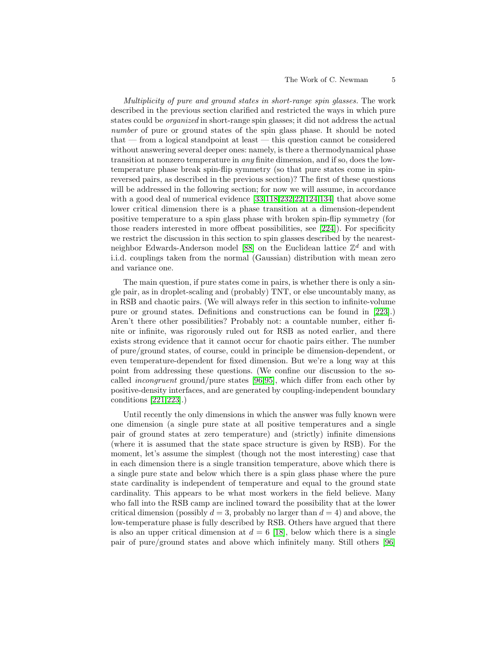*Multiplicity of pure and ground states in short-range spin glasses.* The work described in the previous section clarified and restricted the ways in which pure states could be *organized* in short-range spin glasses; it did not address the actual *number* of pure or ground states of the spin glass phase. It should be noted that — from a logical standpoint at least — this question cannot be considered without answering several deeper ones: namely, is there a thermodynamical phase transition at nonzero temperature in *any* finite dimension, and if so, does the lowtemperature phase break spin-flip symmetry (so that pure states come in spinreversed pairs, as described in the previous section)? The first of these questions will be addressed in the following section; for now we will assume, in accordance with a good deal of numerical evidence [\[33,](#page-26-0)[118](#page-30-1)[,232](#page-35-11)[,22,](#page-26-3)[124,](#page-30-2)[134\]](#page-31-4) that above some lower critical dimension there is a phase transition at a dimension-dependent positive temperature to a spin glass phase with broken spin-flip symmetry (for those readers interested in more offbeat possibilities, see [\[224\]](#page-35-8)). For specificity we restrict the discussion in this section to spin glasses described by the nearest-neighbor Edwards-Anderson model [\[88\]](#page-29-3) on the Euclidean lattice  $\mathbb{Z}^d$  and with i.i.d. couplings taken from the normal (Gaussian) distribution with mean zero and variance one.

The main question, if pure states come in pairs, is whether there is only a single pair, as in droplet-scaling and (probably) TNT, or else uncountably many, as in RSB and chaotic pairs. (We will always refer in this section to infinite-volume pure or ground states. Definitions and constructions can be found in [\[223\]](#page-35-6).) Aren't there other possibilities? Probably not: a countable number, either finite or infinite, was rigorously ruled out for RSB as noted earlier, and there exists strong evidence that it cannot occur for chaotic pairs either. The number of pure/ground states, of course, could in principle be dimension-dependent, or even temperature-dependent for fixed dimension. But we're a long way at this point from addressing these questions. (We confine our discussion to the socalled *incongruent* ground/pure states [\[96,](#page-29-4)[95\]](#page-29-5), which differ from each other by positive-density interfaces, and are generated by coupling-independent boundary conditions [\[221](#page-35-10)[,223\]](#page-35-6).)

Until recently the only dimensions in which the answer was fully known were one dimension (a single pure state at all positive temperatures and a single pair of ground states at zero temperature) and (strictly) infinite dimensions (where it is assumed that the state space structure is given by RSB). For the moment, let's assume the simplest (though not the most interesting) case that in each dimension there is a single transition temperature, above which there is a single pure state and below which there is a spin glass phase where the pure state cardinality is independent of temperature and equal to the ground state cardinality. This appears to be what most workers in the field believe. Many who fall into the RSB camp are inclined toward the possibility that at the lower critical dimension (possibly  $d = 3$ , probably no larger than  $d = 4$ ) and above, the low-temperature phase is fully described by RSB. Others have argued that there is also an upper critical dimension at  $d = 6$  [\[18\]](#page-26-4), below which there is a single pair of pure/ground states and above which infinitely many. Still others [\[96\]](#page-29-4)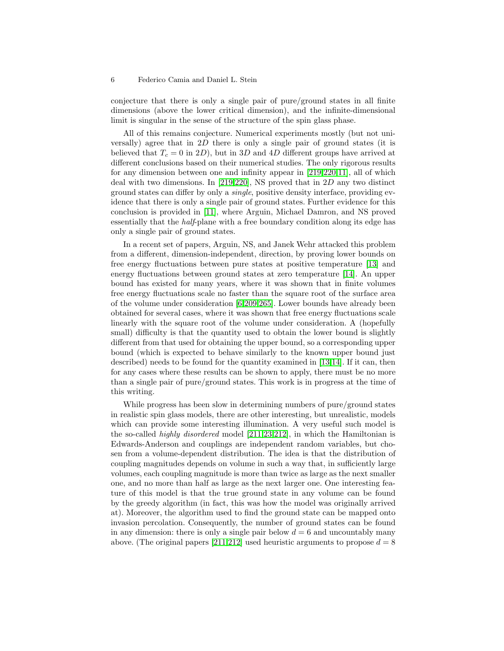conjecture that there is only a single pair of pure/ground states in all finite dimensions (above the lower critical dimension), and the infinite-dimensional limit is singular in the sense of the structure of the spin glass phase.

All of this remains conjecture. Numerical experiments mostly (but not universally) agree that in 2D there is only a single pair of ground states (it is believed that  $T_c = 0$  in 2D), but in 3D and 4D different groups have arrived at different conclusions based on their numerical studies. The only rigorous results for any dimension between one and infinity appear in [\[219](#page-34-5)[,220,](#page-34-6)[11\]](#page-25-2), all of which deal with two dimensions. In [\[219](#page-34-5)[,220\]](#page-34-6), NS proved that in 2D any two distinct ground states can differ by only a *single*, positive density interface, providing evidence that there is only a single pair of ground states. Further evidence for this conclusion is provided in [\[11\]](#page-25-2), where Arguin, Michael Damron, and NS proved essentially that the *half*-plane with a free boundary condition along its edge has only a single pair of ground states.

In a recent set of papers, Arguin, NS, and Janek Wehr attacked this problem from a different, dimension-independent, direction, by proving lower bounds on free energy fluctuations between pure states at positive temperature [\[13\]](#page-25-3) and energy fluctuations between ground states at zero temperature [\[14\]](#page-26-5). An upper bound has existed for many years, where it was shown that in finite volumes free energy fluctuations scale no faster than the square root of the surface area of the volume under consideration [\[6](#page-25-4)[,209,](#page-34-7)[265\]](#page-36-4). Lower bounds have already been obtained for several cases, where it was shown that free energy fluctuations scale linearly with the square root of the volume under consideration. A (hopefully small) difficulty is that the quantity used to obtain the lower bound is slightly different from that used for obtaining the upper bound, so a corresponding upper bound (which is expected to behave similarly to the known upper bound just described) needs to be found for the quantity examined in [\[13](#page-25-3)[,14\]](#page-26-5). If it can, then for any cases where these results can be shown to apply, there must be no more than a single pair of pure/ground states. This work is in progress at the time of this writing.

While progress has been slow in determining numbers of pure/ground states in realistic spin glass models, there are other interesting, but unrealistic, models which can provide some interesting illumination. A very useful such model is the so-called *highly disordered* model [\[211](#page-34-8)[,23](#page-26-6)[,212\]](#page-34-9), in which the Hamiltonian is Edwards-Anderson and couplings are independent random variables, but chosen from a volume-dependent distribution. The idea is that the distribution of coupling magnitudes depends on volume in such a way that, in sufficiently large volumes, each coupling magnitude is more than twice as large as the next smaller one, and no more than half as large as the next larger one. One interesting feature of this model is that the true ground state in any volume can be found by the greedy algorithm (in fact, this was how the model was originally arrived at). Moreover, the algorithm used to find the ground state can be mapped onto invasion percolation. Consequently, the number of ground states can be found in any dimension: there is only a single pair below  $d = 6$  and uncountably many above. (The original papers [\[211](#page-34-8)[,212\]](#page-34-9) used heuristic arguments to propose  $d = 8$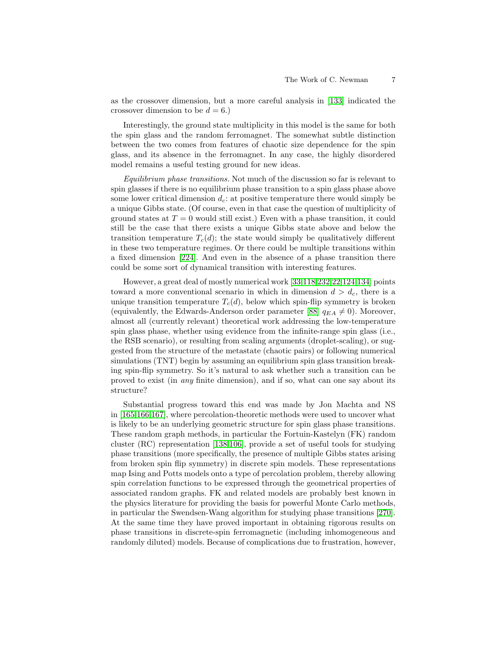as the crossover dimension, but a more careful analysis in [\[133\]](#page-31-5) indicated the crossover dimension to be  $d = 6$ .)

Interestingly, the ground state multiplicity in this model is the same for both the spin glass and the random ferromagnet. The somewhat subtle distinction between the two comes from features of chaotic size dependence for the spin glass, and its absence in the ferromagnet. In any case, the highly disordered model remains a useful testing ground for new ideas.

*Equilibrium phase transitions.* Not much of the discussion so far is relevant to spin glasses if there is no equilibrium phase transition to a spin glass phase above some lower critical dimension  $d_c$ : at positive temperature there would simply be a unique Gibbs state. (Of course, even in that case the question of multiplicity of ground states at  $T = 0$  would still exist.) Even with a phase transition, it could still be the case that there exists a unique Gibbs state above and below the transition temperature  $T_c(d)$ ; the state would simply be qualitatively different in these two temperature regimes. Or there could be multiple transitions within a fixed dimension [\[224\]](#page-35-8). And even in the absence of a phase transition there could be some sort of dynamical transition with interesting features.

However, a great deal of mostly numerical work [\[33](#page-26-0)[,118,](#page-30-1)[232,](#page-35-11)[22,](#page-26-3)[124](#page-30-2)[,134\]](#page-31-4) points toward a more conventional scenario in which in dimension  $d > d_c$ , there is a unique transition temperature  $T_c(d)$ , below which spin-flip symmetry is broken (equivalently, the Edwards-Anderson order parameter [\[88\]](#page-29-3)  $q_{EA} \neq 0$ ). Moreover, almost all (currently relevant) theoretical work addressing the low-temperature spin glass phase, whether using evidence from the infinite-range spin glass (i.e., the RSB scenario), or resulting from scaling arguments (droplet-scaling), or suggested from the structure of the metastate (chaotic pairs) or following numerical simulations (TNT) begin by assuming an equilibrium spin glass transition breaking spin-flip symmetry. So it's natural to ask whether such a transition can be proved to exist (in *any* finite dimension), and if so, what can one say about its structure?

Substantial progress toward this end was made by Jon Machta and NS in [\[165](#page-32-7)[,166,](#page-32-8)[167\]](#page-32-9), where percolation-theoretic methods were used to uncover what is likely to be an underlying geometric structure for spin glass phase transitions. These random graph methods, in particular the Fortuin-Kastelyn (FK) random cluster (RC) representation [\[138,](#page-31-6)[106\]](#page-30-3), provide a set of useful tools for studying phase transitions (more specifically, the presence of multiple Gibbs states arising from broken spin flip symmetry) in discrete spin models. These representations map Ising and Potts models onto a type of percolation problem, thereby allowing spin correlation functions to be expressed through the geometrical properties of associated random graphs. FK and related models are probably best known in the physics literature for providing the basis for powerful Monte Carlo methods, in particular the Swendsen-Wang algorithm for studying phase transitions [\[270\]](#page-37-2). At the same time they have proved important in obtaining rigorous results on phase transitions in discrete-spin ferromagnetic (including inhomogeneous and randomly diluted) models. Because of complications due to frustration, however,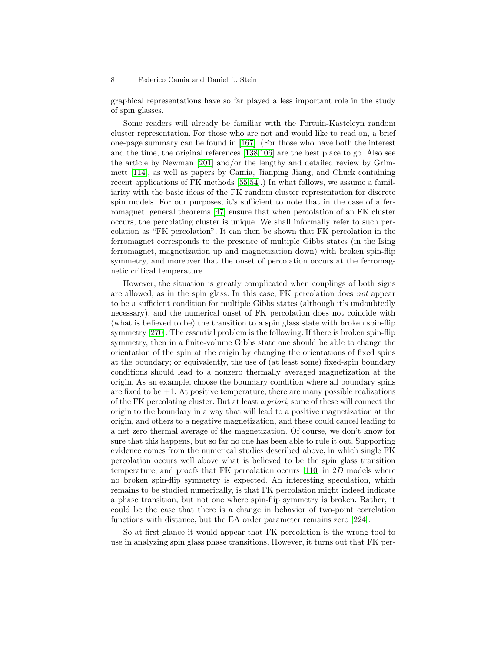graphical representations have so far played a less important role in the study of spin glasses.

Some readers will already be familiar with the Fortuin-Kasteleyn random cluster representation. For those who are not and would like to read on, a brief one-page summary can be found in [\[167\]](#page-32-9). (For those who have both the interest and the time, the original references [\[138,](#page-31-6)[106\]](#page-30-3) are the best place to go. Also see the article by Newman [\[201\]](#page-34-10) and/or the lengthy and detailed review by Grimmett [\[114\]](#page-30-4), as well as papers by Camia, Jianping Jiang, and Chuck containing recent applications of FK methods [\[55,](#page-27-5)[54\]](#page-27-6).) In what follows, we assume a familiarity with the basic ideas of the FK random cluster representation for discrete spin models. For our purposes, it's sufficient to note that in the case of a ferromagnet, general theorems [\[47\]](#page-27-7) ensure that when percolation of an FK cluster occurs, the percolating cluster is unique. We shall informally refer to such percolation as "FK percolation". It can then be shown that FK percolation in the ferromagnet corresponds to the presence of multiple Gibbs states (in the Ising ferromagnet, magnetization up and magnetization down) with broken spin-flip symmetry, and moreover that the onset of percolation occurs at the ferromagnetic critical temperature.

However, the situation is greatly complicated when couplings of both signs are allowed, as in the spin glass. In this case, FK percolation does *not* appear to be a sufficient condition for multiple Gibbs states (although it's undoubtedly necessary), and the numerical onset of FK percolation does not coincide with (what is believed to be) the transition to a spin glass state with broken spin-flip symmetry [\[270\]](#page-37-2). The essential problem is the following. If there is broken spin-flip symmetry, then in a finite-volume Gibbs state one should be able to change the orientation of the spin at the origin by changing the orientations of fixed spins at the boundary; or equivalently, the use of (at least some) fixed-spin boundary conditions should lead to a nonzero thermally averaged magnetization at the origin. As an example, choose the boundary condition where all boundary spins are fixed to be  $+1$ . At positive temperature, there are many possible realizations of the FK percolating cluster. But at least *a priori*, some of these will connect the origin to the boundary in a way that will lead to a positive magnetization at the origin, and others to a negative magnetization, and these could cancel leading to a net zero thermal average of the magnetization. Of course, we don't know for sure that this happens, but so far no one has been able to rule it out. Supporting evidence comes from the numerical studies described above, in which single FK percolation occurs well above what is believed to be the spin glass transition temperature, and proofs that FK percolation occurs [\[110\]](#page-30-5) in 2D models where no broken spin-flip symmetry is expected. An interesting speculation, which remains to be studied numerically, is that FK percolation might indeed indicate a phase transition, but not one where spin-flip symmetry is broken. Rather, it could be the case that there is a change in behavior of two-point correlation functions with distance, but the EA order parameter remains zero [\[224\]](#page-35-8).

So at first glance it would appear that FK percolation is the wrong tool to use in analyzing spin glass phase transitions. However, it turns out that FK per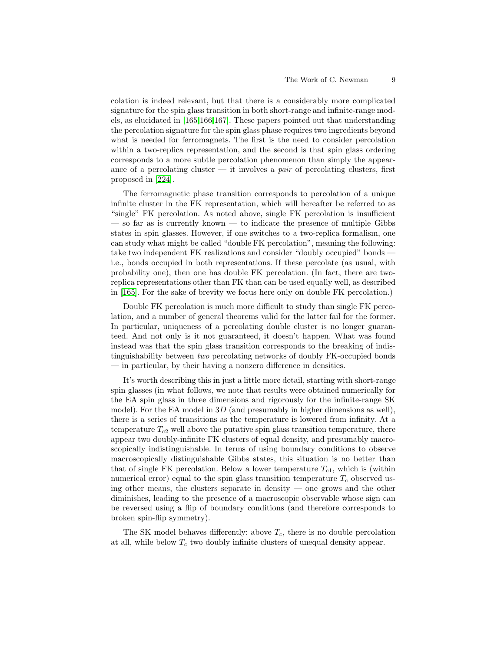colation is indeed relevant, but that there is a considerably more complicated signature for the spin glass transition in both short-range and infinite-range models, as elucidated in [\[165,](#page-32-7)[166](#page-32-8)[,167\]](#page-32-9). These papers pointed out that understanding the percolation signature for the spin glass phase requires two ingredients beyond what is needed for ferromagnets. The first is the need to consider percolation within a two-replica representation, and the second is that spin glass ordering corresponds to a more subtle percolation phenomenon than simply the appearance of a percolating cluster — it involves a *pair* of percolating clusters, first proposed in [\[224\]](#page-35-8).

The ferromagnetic phase transition corresponds to percolation of a unique infinite cluster in the FK representation, which will hereafter be referred to as "single" FK percolation. As noted above, single FK percolation is insufficient — so far as is currently known — to indicate the presence of multiple Gibbs states in spin glasses. However, if one switches to a two-replica formalism, one can study what might be called "double FK percolation", meaning the following: take two independent FK realizations and consider "doubly occupied" bonds i.e., bonds occupied in both representations. If these percolate (as usual, with probability one), then one has double FK percolation. (In fact, there are tworeplica representations other than FK than can be used equally well, as described in [\[165\]](#page-32-7). For the sake of brevity we focus here only on double FK percolation.)

Double FK percolation is much more difficult to study than single FK percolation, and a number of general theorems valid for the latter fail for the former. In particular, uniqueness of a percolating double cluster is no longer guaranteed. And not only is it not guaranteed, it doesn't happen. What was found instead was that the spin glass transition corresponds to the breaking of indistinguishability between *two* percolating networks of doubly FK-occupied bonds — in particular, by their having a nonzero difference in densities.

It's worth describing this in just a little more detail, starting with short-range spin glasses (in what follows, we note that results were obtained numerically for the EA spin glass in three dimensions and rigorously for the infinite-range SK model). For the EA model in  $3D$  (and presumably in higher dimensions as well), there is a series of transitions as the temperature is lowered from infinity. At a temperature  $T_{c2}$  well above the putative spin glass transition temperature, there appear two doubly-infinite FK clusters of equal density, and presumably macroscopically indistinguishable. In terms of using boundary conditions to observe macroscopically distinguishable Gibbs states, this situation is no better than that of single FK percolation. Below a lower temperature  $T_{c1}$ , which is (within numerical error) equal to the spin glass transition temperature  $T_c$  observed using other means, the clusters separate in density — one grows and the other diminishes, leading to the presence of a macroscopic observable whose sign can be reversed using a flip of boundary conditions (and therefore corresponds to broken spin-flip symmetry).

The SK model behaves differently: above  $T_c$ , there is no double percolation at all, while below  $T_c$  two doubly infinite clusters of unequal density appear.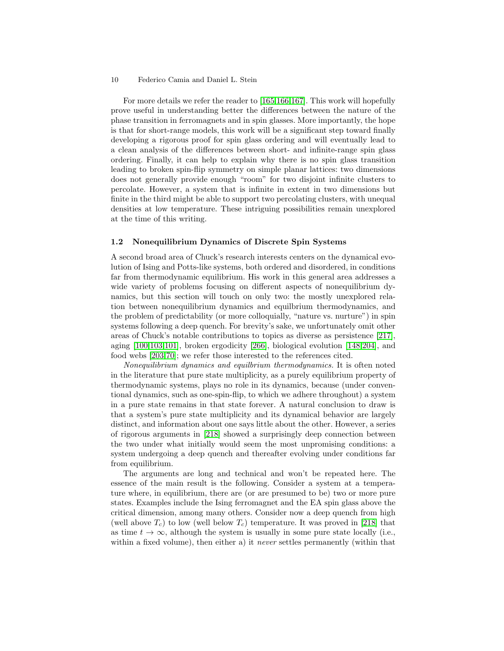For more details we refer the reader to [\[165](#page-32-7)[,166,](#page-32-8)[167\]](#page-32-9). This work will hopefully prove useful in understanding better the differences between the nature of the phase transition in ferromagnets and in spin glasses. More importantly, the hope is that for short-range models, this work will be a significant step toward finally developing a rigorous proof for spin glass ordering and will eventually lead to a clean analysis of the differences between short- and infinite-range spin glass ordering. Finally, it can help to explain why there is no spin glass transition leading to broken spin-flip symmetry on simple planar lattices: two dimensions does not generally provide enough "room" for two disjoint infinite clusters to percolate. However, a system that is infinite in extent in two dimensions but finite in the third might be able to support two percolating clusters, with unequal densities at low temperature. These intriguing possibilities remain unexplored at the time of this writing.

### 1.2 Nonequilibrium Dynamics of Discrete Spin Systems

A second broad area of Chuck's research interests centers on the dynamical evolution of Ising and Potts-like systems, both ordered and disordered, in conditions far from thermodynamic equilibrium. His work in this general area addresses a wide variety of problems focusing on different aspects of nonequilibrium dynamics, but this section will touch on only two: the mostly unexplored relation between nonequilibrium dynamics and equilbrium thermodynamics, and the problem of predictability (or more colloquially, "nature vs. nurture") in spin systems following a deep quench. For brevity's sake, we unfortunately omit other areas of Chuck's notable contributions to topics as diverse as persistence [\[217\]](#page-34-11), aging [\[100,](#page-29-6)[103](#page-30-6)[,101\]](#page-29-7), broken ergodicity [\[266\]](#page-36-5), biological evolution [\[148,](#page-31-7)[204\]](#page-34-12), and food webs [\[203,](#page-34-13)[70\]](#page-28-4); we refer those interested to the references cited.

*Nonequilibrium dynamics and equilbrium thermodynamics.* It is often noted in the literature that pure state multiplicity, as a purely equilibrium property of thermodynamic systems, plays no role in its dynamics, because (under conventional dynamics, such as one-spin-flip, to which we adhere throughout) a system in a pure state remains in that state forever. A natural conclusion to draw is that a system's pure state multiplicity and its dynamical behavior are largely distinct, and information about one says little about the other. However, a series of rigorous arguments in [\[218\]](#page-34-14) showed a surprisingly deep connection between the two under what initially would seem the most unpromising conditions: a system undergoing a deep quench and thereafter evolving under conditions far from equilibrium.

The arguments are long and technical and won't be repeated here. The essence of the main result is the following. Consider a system at a temperature where, in equilibrium, there are (or are presumed to be) two or more pure states. Examples include the Ising ferromagnet and the EA spin glass above the critical dimension, among many others. Consider now a deep quench from high (well above  $T_c$ ) to low (well below  $T_c$ ) temperature. It was proved in [\[218\]](#page-34-14) that as time  $t \to \infty$ , although the system is usually in some pure state locally (i.e., within a fixed volume), then either a) it *never* settles permanently (within that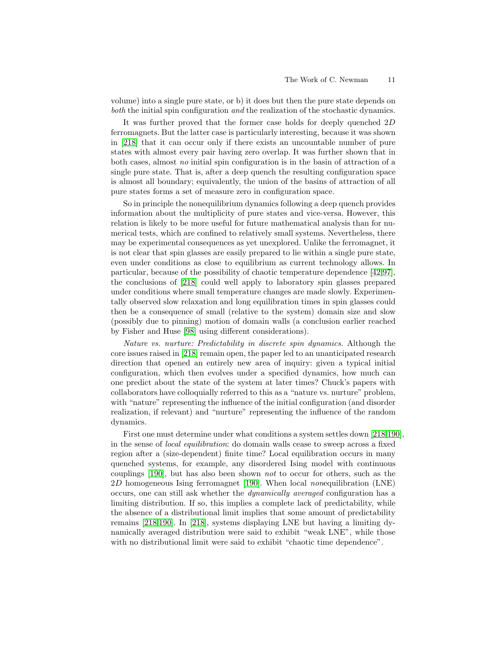volume) into a single pure state, or b) it does but then the pure state depends on *both* the initial spin configuration *and* the realization of the stochastic dynamics.

It was further proved that the former case holds for deeply quenched 2D ferromagnets. But the latter case is particularly interesting, because it was shown in [\[218\]](#page-34-14) that it can occur only if there exists an uncountable number of pure states with almost every pair having zero overlap. It was further shown that in both cases, almost *no* initial spin configuration is in the basin of attraction of a single pure state. That is, after a deep quench the resulting configuration space is almost all boundary; equivalently, the union of the basins of attraction of all pure states forms a set of measure zero in configuration space.

So in principle the nonequilibrium dynamics following a deep quench provides information about the multiplicity of pure states and vice-versa. However, this relation is likely to be more useful for future mathematical analysis than for numerical tests, which are confined to relatively small systems. Nevertheless, there may be experimental consequences as yet unexplored. Unlike the ferromagnet, it is not clear that spin glasses are easily prepared to lie within a single pure state, even under conditions as close to equilibrium as current technology allows. In particular, because of the possibility of chaotic temperature dependence [\[42](#page-27-1)[,97\]](#page-29-1), the conclusions of [\[218\]](#page-34-14) could well apply to laboratory spin glasses prepared under conditions where small temperature changes are made slowly. Experimentally observed slow relaxation and long equilibration times in spin glasses could then be a consequence of small (relative to the system) domain size and slow (possibly due to pinning) motion of domain walls (a conclusion earlier reached by Fisher and Huse [\[98\]](#page-29-8) using different considerations).

*Nature vs. nurture: Predictability in discrete spin dynamics.* Although the core issues raised in [\[218\]](#page-34-14) remain open, the paper led to an unanticipated research direction that opened an entirely new area of inquiry: given a typical initial configuration, which then evolves under a specified dynamics, how much can one predict about the state of the system at later times? Chuck's papers with collaborators have colloquially referred to this as a "nature vs. nurture" problem, with "nature" representing the influence of the initial configuration (and disorder realization, if relevant) and "nurture" representing the influence of the random dynamics.

First one must determine under what conditions a system settles down [\[218,](#page-34-14)[190\]](#page-33-10), in the sense of *local equilibration*: do domain walls cease to sweep across a fixed region after a (size-dependent) finite time? Local equilibration occurs in many quenched systems, for example, any disordered Ising model with continuous couplings [\[190\]](#page-33-10), but has also been shown *not* to occur for others, such as the 2D homogeneous Ising ferromagnet [\[190\]](#page-33-10). When local *non*equilibration (LNE) occurs, one can still ask whether the *dynamically averaged* configuration has a limiting distribution. If so, this implies a complete lack of predictability, while the absence of a distributional limit implies that some amount of predictability remains [\[218](#page-34-14)[,190\]](#page-33-10). In [\[218\]](#page-34-14), systems displaying LNE but having a limiting dynamically averaged distribution were said to exhibit "weak LNE", while those with no distributional limit were said to exhibit "chaotic time dependence".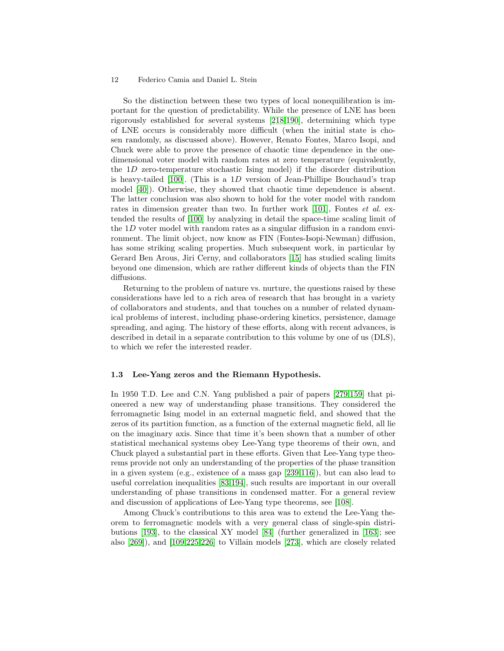So the distinction between these two types of local nonequilibration is important for the question of predictability. While the presence of LNE has been rigorously established for several systems [\[218,](#page-34-14)[190\]](#page-33-10), determining which type of LNE occurs is considerably more difficult (when the initial state is chosen randomly, as discussed above). However, Renato Fontes, Marco Isopi, and Chuck were able to prove the presence of chaotic time dependence in the onedimensional voter model with random rates at zero temperature (equivalently, the 1D zero-temperature stochastic Ising model) if the disorder distribution is heavy-tailed [\[100\]](#page-29-6). (This is a 1D version of Jean-Phillipe Bouchaud's trap model [\[40\]](#page-27-8)). Otherwise, they showed that chaotic time dependence is absent. The latter conclusion was also shown to hold for the voter model with random rates in dimension greater than two. In further work [\[101\]](#page-29-7), Fontes *et al.* extended the results of [\[100\]](#page-29-6) by analyzing in detail the space-time scaling limit of the 1D voter model with random rates as a singular diffusion in a random environment. The limit object, now know as FIN (Fontes-Isopi-Newman) diffusion, has some striking scaling properties. Much subsequent work, in particular by Gerard Ben Arous, Jiri Cerny, and collaborators [\[15\]](#page-26-7) has studied scaling limits beyond one dimension, which are rather different kinds of objects than the FIN diffusions.

Returning to the problem of nature vs. nurture, the questions raised by these considerations have led to a rich area of research that has brought in a variety of collaborators and students, and that touches on a number of related dynamical problems of interest, including phase-ordering kinetics, persistence, damage spreading, and aging. The history of these efforts, along with recent advances, is described in detail in a separate contribution to this volume by one of us (DLS), to which we refer the interested reader.

### 1.3 Lee-Yang zeros and the Riemann Hypothesis.

In 1950 T.D. Lee and C.N. Yang published a pair of papers [\[279](#page-37-3)[,159\]](#page-32-10) that pioneered a new way of understanding phase transitions. They considered the ferromagnetic Ising model in an external magnetic field, and showed that the zeros of its partition function, as a function of the external magnetic field, all lie on the imaginary axis. Since that time it's been shown that a number of other statistical mechanical systems obey Lee-Yang type theorems of their own, and Chuck played a substantial part in these efforts. Given that Lee-Yang type theorems provide not only an understanding of the properties of the phase transition in a given system (e.g., existence of a mass gap [\[239,](#page-35-12)[116\]](#page-30-7)), but can also lead to useful correlation inequalities [\[83](#page-29-9)[,194\]](#page-33-11), such results are important in our overall understanding of phase transitions in condensed matter. For a general review and discussion of applications of Lee-Yang type theorems, see [\[108\]](#page-30-8).

Among Chuck's contributions to this area was to extend the Lee-Yang theorem to ferromagnetic models with a very general class of single-spin distributions [\[193\]](#page-33-12), to the classical XY model [\[84\]](#page-29-10) (further generalized in [\[163\]](#page-32-11); see also [\[269\]](#page-37-4)), and [\[109](#page-30-9)[,225](#page-35-13)[,226\]](#page-35-14) to Villain models [\[273\]](#page-37-5), which are closely related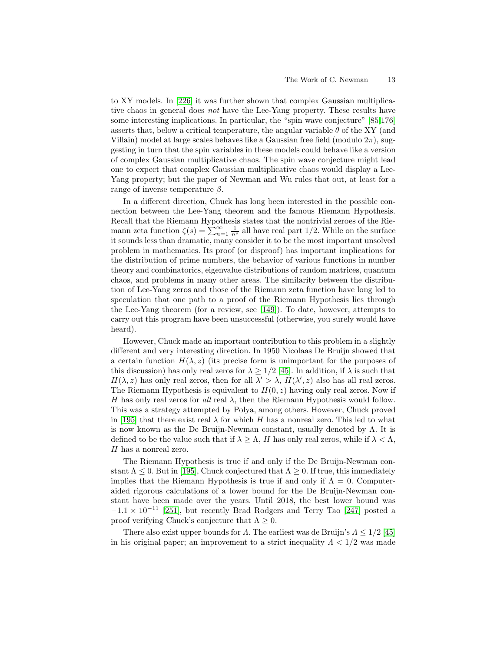to XY models. In [\[226\]](#page-35-14) it was further shown that complex Gaussian multiplicative chaos in general does *not* have the Lee-Yang property. These results have some interesting implications. In particular, the "spin wave conjecture" [\[85,](#page-29-11)[176\]](#page-33-13) asserts that, below a critical temperature, the angular variable  $\theta$  of the XY (and Villain) model at large scales behaves like a Gaussian free field (modulo  $2\pi$ ), suggesting in turn that the spin variables in these models could behave like a version of complex Gaussian multiplicative chaos. The spin wave conjecture might lead one to expect that complex Gaussian multiplicative chaos would display a Lee-Yang property; but the paper of Newman and Wu rules that out, at least for a range of inverse temperature  $\beta$ .

In a different direction, Chuck has long been interested in the possible connection between the Lee-Yang theorem and the famous Riemann Hypothesis. Recall that the Riemann Hypothesis states that the nontrivial zeroes of the Riemann zeta function  $\zeta(s) = \sum_{n=1}^{\infty} \frac{1}{n^s}$  all have real part 1/2. While on the surface it sounds less than dramatic, many consider it to be the most important unsolved problem in mathematics. Its proof (or disproof) has important implications for the distribution of prime numbers, the behavior of various functions in number theory and combinatorics, eigenvalue distributions of random matrices, quantum chaos, and problems in many other areas. The similarity between the distribution of Lee-Yang zeros and those of the Riemann zeta function have long led to speculation that one path to a proof of the Riemann Hypothesis lies through the Lee-Yang theorem (for a review, see [\[149\]](#page-31-8)). To date, however, attempts to carry out this program have been unsuccessful (otherwise, you surely would have heard).

However, Chuck made an important contribution to this problem in a slightly different and very interesting direction. In 1950 Nicolaas De Bruijn showed that a certain function  $H(\lambda, z)$  (its precise form is unimportant for the purposes of this discussion) has only real zeros for  $\lambda \geq 1/2$  [\[45\]](#page-27-9). In addition, if  $\lambda$  is such that  $H(\lambda, z)$  has only real zeros, then for all  $\lambda' > \lambda$ ,  $H(\lambda', z)$  also has all real zeros. The Riemann Hypothesis is equivalent to  $H(0, z)$  having only real zeros. Now if H has only real zeros for *all* real  $\lambda$ , then the Riemann Hypothesis would follow. This was a strategy attempted by Polya, among others. However, Chuck proved in [\[195\]](#page-33-14) that there exist real  $\lambda$  for which H has a nonreal zero. This led to what is now known as the De Bruijn-Newman constant, usually denoted by  $\Lambda$ . It is defined to be the value such that if  $\lambda > \Lambda$ , H has only real zeros, while if  $\lambda < \Lambda$ , H has a nonreal zero.

The Riemann Hypothesis is true if and only if the De Bruijn-Newman constant  $\Lambda \leq 0$ . But in [\[195\]](#page-33-14), Chuck conjectured that  $\Lambda \geq 0$ . If true, this immediately implies that the Riemann Hypothesis is true if and only if  $\Lambda = 0$ . Computeraided rigorous calculations of a lower bound for the De Bruijn-Newman constant have been made over the years. Until 2018, the best lower bound was  $-1.1 \times 10^{-11}$  [\[251\]](#page-36-6), but recently Brad Rodgers and Terry Tao [\[247\]](#page-36-7) posted a proof verifying Chuck's conjecture that  $\Lambda \geq 0$ .

There also exist upper bounds for  $\Lambda$ . The earliest was de Bruijn's  $\Lambda \leq 1/2$  [\[45\]](#page-27-9) in his original paper; an improvement to a strict inequality  $\Lambda < 1/2$  was made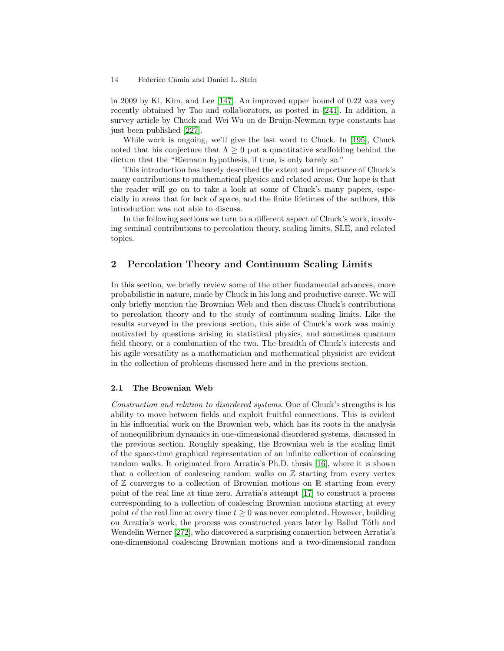in 2009 by Ki, Kim, and Lee [\[147\]](#page-31-9). An improved upper bound of 0.22 was very recently obtained by Tao and collaborators, as posted in [\[241\]](#page-35-15). In addition, a survey article by Chuck and Wei Wu on de Bruijn-Newman type constants has just been published [\[227\]](#page-35-16).

While work is ongoing, we'll give the last word to Chuck. In [\[195\]](#page-33-14), Chuck noted that his conjecture that  $\Lambda \geq 0$  put a quantitative scaffolding behind the dictum that the "Riemann hypothesis, if true, is only barely so."

This introduction has barely described the extent and importance of Chuck's many contributions to mathematical physics and related areas. Our hope is that the reader will go on to take a look at some of Chuck's many papers, especially in areas that for lack of space, and the finite lifetimes of the authors, this introduction was not able to discuss.

In the following sections we turn to a different aspect of Chuck's work, involving seminal contributions to percolation theory, scaling limits, SLE, and related topics.

# 2 Percolation Theory and Continuum Scaling Limits

In this section, we briefly review some of the other fundamental advances, more probabilistic in nature, made by Chuck in his long and productive career. We will only briefly mention the Brownian Web and then discuss Chuck's contributions to percolation theory and to the study of continuum scaling limits. Like the results surveyed in the previous section, this side of Chuck's work was mainly motivated by questions arising in statistical physics, and sometimes quantum field theory, or a combination of the two. The breadth of Chuck's interests and his agile versatility as a mathematician and mathematical physicist are evident in the collection of problems discussed here and in the previous section.

# 2.1 The Brownian Web

*Construction and relation to disordered systems*. One of Chuck's strengths is his ability to move between fields and exploit fruitful connections. This is evident in his influential work on the Brownian web, which has its roots in the analysis of nonequilibrium dynamics in one-dimensional disordered systems, discussed in the previous section. Roughly speaking, the Brownian web is the scaling limit of the space-time graphical representation of an infinite collection of coalescing random walks. It originated from Arratia's Ph.D. thesis [\[16\]](#page-26-8), where it is shown that a collection of coalescing random walks on  $\mathbb Z$  starting from every vertex of  $\mathbb Z$  converges to a collection of Brownian motions on  $\mathbb R$  starting from every point of the real line at time zero. Arratia's attempt [\[17\]](#page-26-9) to construct a process corresponding to a collection of coalescing Brownian motions starting at every point of the real line at every time  $t \geq 0$  was never completed. However, building on Arratia's work, the process was constructed years later by Balint T´oth and Wendelin Werner [\[272\]](#page-37-6), who discovered a surprising connection between Arratia's one-dimensional coalescing Brownian motions and a two-dimensional random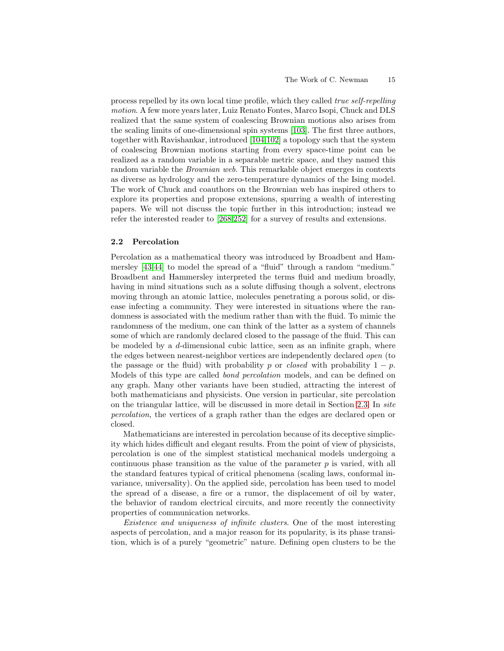process repelled by its own local time profile, which they called *true self-repelling motion*. A few more years later, Luiz Renato Fontes, Marco Isopi, Chuck and DLS realized that the same system of coalescing Brownian motions also arises from the scaling limits of one-dimensional spin systems [\[103\]](#page-30-6). The first three authors, together with Ravishankar, introduced [\[104,](#page-30-10)[102\]](#page-29-12) a topology such that the system of coalescing Brownian motions starting from every space-time point can be realized as a random variable in a separable metric space, and they named this random variable the *Brownian web*. This remarkable object emerges in contexts as diverse as hydrology and the zero-temperature dynamics of the Ising model. The work of Chuck and coauthors on the Brownian web has inspired others to explore its properties and propose extensions, spurring a wealth of interesting papers. We will not discuss the topic further in this introduction; instead we refer the interested reader to [\[268,](#page-37-7)[252\]](#page-36-8) for a survey of results and extensions.

# 2.2 Percolation

Percolation as a mathematical theory was introduced by Broadbent and Hammersley [\[43](#page-27-10)[,44\]](#page-27-11) to model the spread of a "fluid" through a random "medium." Broadbent and Hammersley interpreted the terms fluid and medium broadly, having in mind situations such as a solute diffusing though a solvent, electrons moving through an atomic lattice, molecules penetrating a porous solid, or disease infecting a community. They were interested in situations where the randomness is associated with the medium rather than with the fluid. To mimic the randomness of the medium, one can think of the latter as a system of channels some of which are randomly declared closed to the passage of the fluid. This can be modeled by a d-dimensional cubic lattice, seen as an infinite graph, where the edges between nearest-neighbor vertices are independently declared *open* (to the passage or the fluid) with probability p or *closed* with probability  $1 - p$ . Models of this type are called *bond percolation* models, and can be defined on any graph. Many other variants have been studied, attracting the interest of both mathematicians and physicists. One version in particular, site percolation on the triangular lattice, will be discussed in more detail in Section [2.3.](#page-20-0) In *site percolation*, the vertices of a graph rather than the edges are declared open or closed.

Mathematicians are interested in percolation because of its deceptive simplicity which hides difficult and elegant results. From the point of view of physicists, percolation is one of the simplest statistical mechanical models undergoing a continuous phase transition as the value of the parameter  $p$  is varied, with all the standard features typical of critical phenomena (scaling laws, conformal invariance, universality). On the applied side, percolation has been used to model the spread of a disease, a fire or a rumor, the displacement of oil by water, the behavior of random electrical circuits, and more recently the connectivity properties of communication networks.

*Existence and uniqueness of infinite clusters*. One of the most interesting aspects of percolation, and a major reason for its popularity, is its phase transition, which is of a purely "geometric" nature. Defining open clusters to be the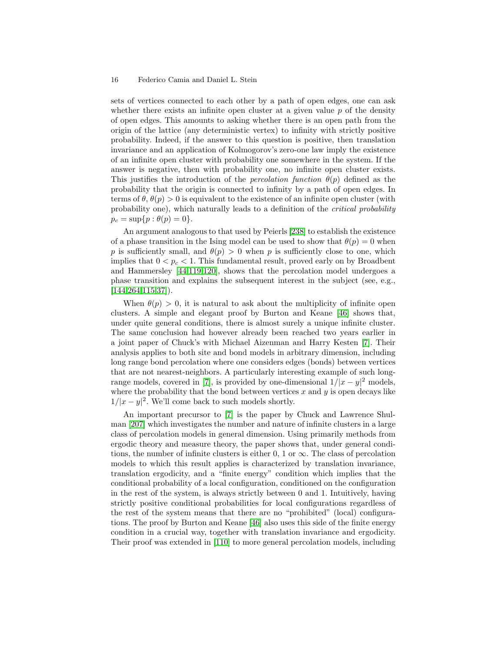sets of vertices connected to each other by a path of open edges, one can ask whether there exists an infinite open cluster at a given value  $p$  of the density of open edges. This amounts to asking whether there is an open path from the origin of the lattice (any deterministic vertex) to infinity with strictly positive probability. Indeed, if the answer to this question is positive, then translation invariance and an application of Kolmogorov's zero-one law imply the existence of an infinite open cluster with probability one somewhere in the system. If the answer is negative, then with probability one, no infinite open cluster exists. This justifies the introduction of the *percolation function*  $\theta(p)$  defined as the probability that the origin is connected to infinity by a path of open edges. In terms of  $\theta$ ,  $\theta(p) > 0$  is equivalent to the existence of an infinite open cluster (with probability one), which naturally leads to a definition of the *critical probability*  $p_c = \sup\{p : \theta(p) = 0\}.$ 

An argument analogous to that used by Peierls [\[238\]](#page-35-17) to establish the existence of a phase transition in the Ising model can be used to show that  $\theta(p) = 0$  when p is sufficiently small, and  $\theta(p) > 0$  when p is sufficiently close to one, which implies that  $0 < p_c < 1$ . This fundamental result, proved early on by Broadbent and Hammersley [\[44,](#page-27-11)[119](#page-30-11)[,120\]](#page-30-12), shows that the percolation model undergoes a phase transition and explains the subsequent interest in the subject (see, e.g.,  $[144, 264, 115, 37]$  $[144, 264, 115, 37]$  $[144, 264, 115, 37]$  $[144, 264, 115, 37]$  $[144, 264, 115, 37]$ .

When  $\theta(p) > 0$ , it is natural to ask about the multiplicity of infinite open clusters. A simple and elegant proof by Burton and Keane [\[46\]](#page-27-13) shows that, under quite general conditions, there is almost surely a unique infinite cluster. The same conclusion had however already been reached two years earlier in a joint paper of Chuck's with Michael Aizenman and Harry Kesten [\[7\]](#page-25-5). Their analysis applies to both site and bond models in arbitrary dimension, including long range bond percolation where one considers edges (bonds) between vertices that are not nearest-neighbors. A particularly interesting example of such long-range models, covered in [\[7\]](#page-25-5), is provided by one-dimensional  $1/|x-y|^2$  models, where the probability that the bond between vertices  $x$  and  $y$  is open decays like  $1/|x-y|^2$ . We'll come back to such models shortly.

An important precursor to [\[7\]](#page-25-5) is the paper by Chuck and Lawrence Shulman [\[207\]](#page-34-15) which investigates the number and nature of infinite clusters in a large class of percolation models in general dimension. Using primarily methods from ergodic theory and measure theory, the paper shows that, under general conditions, the number of infinite clusters is either 0, 1 or  $\infty$ . The class of percolation models to which this result applies is characterized by translation invariance, translation ergodicity, and a "finite energy" condition which implies that the conditional probability of a local configuration, conditioned on the configuration in the rest of the system, is always strictly between 0 and 1. Intuitively, having strictly positive conditional probabilities for local configurations regardless of the rest of the system means that there are no "prohibited" (local) configurations. The proof by Burton and Keane [\[46\]](#page-27-13) also uses this side of the finite energy condition in a crucial way, together with translation invariance and ergodicity. Their proof was extended in [\[110\]](#page-30-5) to more general percolation models, including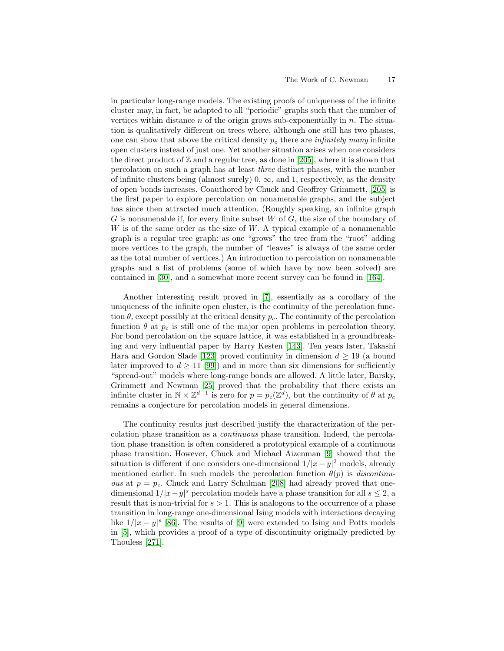in particular long-range models. The existing proofs of uniqueness of the infinite cluster may, in fact, be adapted to all "periodic" graphs such that the number of vertices within distance  $n$  of the origin grows sub-exponentially in  $n$ . The situation is qualitatively different on trees where, although one still has two phases, one can show that above the critical density p<sup>c</sup> there are *infinitely many* infinite open clusters instead of just one. Yet another situation arises when one considers the direct product of  $\mathbb Z$  and a regular tree, as done in [\[205\]](#page-34-16), where it is shown that percolation on such a graph has at least *three* distinct phases, with the number of infinite clusters being (almost surely)  $0, \infty$ , and 1, respectively, as the density of open bonds increases. Coauthored by Chuck and Geoffrey Grimmett, [\[205\]](#page-34-16) is the first paper to explore percolation on nonamenable graphs, and the subject has since then attracted much attention. (Roughly speaking, an infinite graph G is nonamenable if, for every finite subset  $W$  of  $G$ , the size of the boundary of  $W$  is of the same order as the size of  $W$ . A typical example of a nonamenable graph is a regular tree graph: as one "grows" the tree from the "root" adding more vertices to the graph, the number of "leaves" is always of the same order as the total number of vertices.) An introduction to percolation on nonamenable graphs and a list of problems (some of which have by now been solved) are contained in [\[30\]](#page-26-10), and a somewhat more recent survey can be found in [\[164\]](#page-32-12).

Another interesting result proved in [\[7\]](#page-25-5), essentially as a corollary of the uniqueness of the infinite open cluster, is the continuity of the percolation function  $\theta$ , except possibly at the critical density  $p_c$ . The continuity of the percolation function  $\theta$  at  $p_c$  is still one of the major open problems in percolation theory. For bond percolation on the square lattice, it was established in a groundbreaking and very influential paper by Harry Kesten [\[143\]](#page-31-11). Ten years later, Takashi Hara and Gordon Slade [\[123\]](#page-30-14) proved continuity in dimension  $d \geq 19$  (a bound later improved to  $d \geq 11$  [\[99\]](#page-29-13)) and in more than six dimensions for sufficiently "spread-out" models where long-range bonds are allowed. A little later, Barsky, Grimmett and Newman [\[25\]](#page-26-11) proved that the probability that there exists an infinite cluster in  $\mathbb{N} \times \mathbb{Z}^{d-1}$  is zero for  $p = p_c(\mathbb{Z}^d)$ , but the continuity of  $\theta$  at  $p_c$ remains a conjecture for percolation models in general dimensions.

The continuity results just described justify the characterization of the percolation phase transition as a *continuous* phase transition. Indeed, the percolation phase transition is often considered a prototypical example of a continuous phase transition. However, Chuck and Michael Aizenman [\[9\]](#page-25-6) showed that the situation is different if one considers one-dimensional  $1/|x-y|^2$  models, already mentioned earlier. In such models the percolation function  $\theta(p)$  is *discontinuous* at  $p = p_c$ . Chuck and Larry Schulman [\[208\]](#page-34-17) had already proved that onedimensional  $1/|x-y|^s$  percolation models have a phase transition for all  $s \leq 2$ , a result that is non-trivial for  $s > 1$ . This is analogous to the occurrence of a phase transition in long-range one-dimensional Ising models with interactions decaying like  $1/|x-y|^s$  [\[86\]](#page-29-14). The results of [\[9\]](#page-25-6) were extended to Ising and Potts models in [\[5\]](#page-25-7), which provides a proof of a type of discontinuity originally predicted by Thouless [\[271\]](#page-37-8).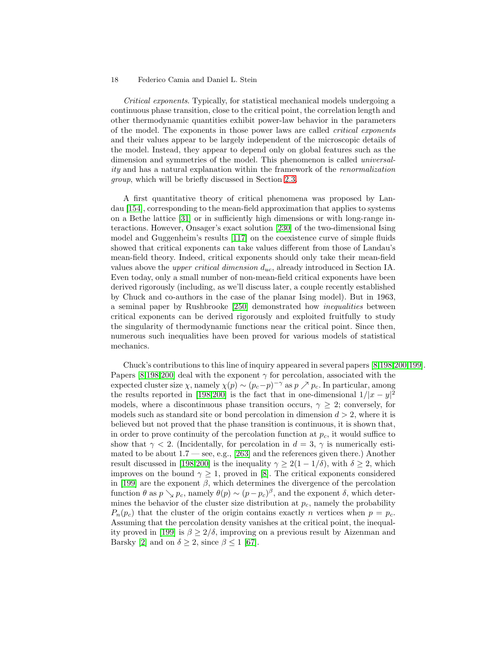*Critical exponents*. Typically, for statistical mechanical models undergoing a continuous phase transition, close to the critical point, the correlation length and other thermodynamic quantities exhibit power-law behavior in the parameters of the model. The exponents in those power laws are called *critical exponents* and their values appear to be largely independent of the microscopic details of the model. Instead, they appear to depend only on global features such as the dimension and symmetries of the model. This phenomenon is called *universality* and has a natural explanation within the framework of the *renormalization group*, which will be briefly discussed in Section [2.3.](#page-20-0)

A first quantitative theory of critical phenomena was proposed by Landau [\[154\]](#page-32-13), corresponding to the mean-field approximation that applies to systems on a Bethe lattice [\[31\]](#page-26-12) or in sufficiently high dimensions or with long-range interactions. However, Onsager's exact solution [\[230\]](#page-35-18) of the two-dimensional Ising model and Guggenheim's results [\[117\]](#page-30-15) on the coexistence curve of simple fluids showed that critical exponents can take values different from those of Landau's mean-field theory. Indeed, critical exponents should only take their mean-field values above the *upper critical dimension* duc, already introduced in Section IA. Even today, only a small number of non-mean-field critical exponents have been derived rigorously (including, as we'll discuss later, a couple recently established by Chuck and co-authors in the case of the planar Ising model). But in 1963, a seminal paper by Rushbrooke [\[250\]](#page-36-10) demonstrated how *inequalities* between critical exponents can be derived rigorously and exploited fruitfully to study the singularity of thermodynamic functions near the critical point. Since then, numerous such inequalities have been proved for various models of statistical mechanics.

Chuck's contributions to this line of inquiry appeared in several papers [\[8](#page-25-8)[,198](#page-34-18)[,200](#page-34-19)[,199\]](#page-34-20). Papers [\[8,](#page-25-8)[198,](#page-34-18)[200\]](#page-34-19) deal with the exponent  $\gamma$  for percolation, associated with the expected cluster size  $\chi$ , namely  $\chi(p) \sim (p_c - p)^{-\gamma}$  as  $p \nearrow p_c$ . In particular, among the results reported in [\[198](#page-34-18)[,200\]](#page-34-19) is the fact that in one-dimensional  $1/|x-y|^2$ models, where a discontinuous phase transition occurs,  $\gamma \geq 2$ ; conversely, for models such as standard site or bond percolation in dimension  $d > 2$ , where it is believed but not proved that the phase transition is continuous, it is shown that, in order to prove continuity of the percolation function at  $p<sub>c</sub>$ , it would suffice to show that  $\gamma < 2$ . (Incidentally, for percolation in  $d = 3$ ,  $\gamma$  is numerically estimated to be about  $1.7$  — see, e.g., [\[263\]](#page-36-11) and the references given there.) Another result discussed in [\[198](#page-34-18)[,200\]](#page-34-19) is the inequality  $\gamma \geq 2(1-1/\delta)$ , with  $\delta \geq 2$ , which improves on the bound  $\gamma \geq 1$ , proved in [\[8\]](#page-25-8). The critical exponents considered in [\[199\]](#page-34-20) are the exponent  $\beta$ , which determines the divergence of the percolation function  $\theta$  as  $p \searrow p_c$ , namely  $\theta(p) \sim (p - p_c)^{\beta}$ , and the exponent  $\delta$ , which determines the behavior of the cluster size distribution at  $p_c$ , namely the probability  $P_n(p_c)$  that the cluster of the origin contains exactly *n* vertices when  $p = p_c$ . Assuming that the percolation density vanishes at the critical point, the inequal-ity proved in [\[199\]](#page-34-20) is  $\beta \geq 2/\delta$ , improving on a previous result by Aizenman and Barsky [\[2\]](#page-25-9) and on  $\delta \geq 2$ , since  $\beta \leq 1$  [\[67\]](#page-28-5).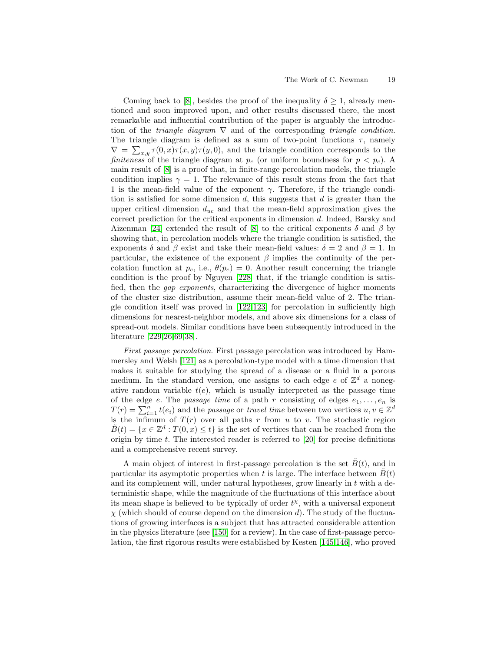Coming back to [\[8\]](#page-25-8), besides the proof of the inequality  $\delta \geq 1$ , already mentioned and soon improved upon, and other results discussed there, the most remarkable and influential contribution of the paper is arguably the introduction of the *triangle diagram* ∇ and of the corresponding *triangle condition*. The triangle diagram is defined as a sum of two-point functions  $\tau$ , namely  $\nabla = \sum_{x,y} \tau(0,x)\tau(x,y)\tau(y,0)$ , and the triangle condition corresponds to the *finiteness* of the triangle diagram at  $p_c$  (or uniform boundness for  $p < p_c$ ). A main result of [\[8\]](#page-25-8) is a proof that, in finite-range percolation models, the triangle condition implies  $\gamma = 1$ . The relevance of this result stems from the fact that 1 is the mean-field value of the exponent  $\gamma$ . Therefore, if the triangle condition is satisfied for some dimension  $d$ , this suggests that  $d$  is greater than the upper critical dimension  $d_{uc}$  and that the mean-field approximation gives the correct prediction for the critical exponents in dimension d. Indeed, Barsky and Aizenman [\[24\]](#page-26-13) extended the result of [\[8\]](#page-25-8) to the critical exponents  $\delta$  and  $\beta$  by showing that, in percolation models where the triangle condition is satisfied, the exponents  $\delta$  and  $\beta$  exist and take their mean-field values:  $\delta = 2$  and  $\beta = 1$ . In particular, the existence of the exponent  $\beta$  implies the continuity of the percolation function at  $p_c$ , i.e.,  $\theta(p_c) = 0$ . Another result concerning the triangle condition is the proof by Nguyen [\[228\]](#page-35-19) that, if the triangle condition is satisfied, then the *gap exponents*, characterizing the divergence of higher moments of the cluster size distribution, assume their mean-field value of 2. The triangle condition itself was proved in [\[122](#page-30-16)[,123\]](#page-30-14) for percolation in sufficiently high dimensions for nearest-neighbor models, and above six dimensions for a class of spread-out models. Similar conditions have been subsequently introduced in the literature [\[229](#page-35-20)[,26,](#page-26-14)[69,](#page-28-6)[38\]](#page-27-14).

*First passage percolation*. First passage percolation was introduced by Hammersley and Welsh [\[121\]](#page-30-17) as a percolation-type model with a time dimension that makes it suitable for studying the spread of a disease or a fluid in a porous medium. In the standard version, one assigns to each edge  $e$  of  $\mathbb{Z}^d$  a nonegative random variable  $t(e)$ , which is usually interpreted as the passage time of the edge e. The *passage time* of a path r consisting of edges  $e_1, \ldots, e_n$  is  $T(r) = \sum_{i=1}^{n} t(e_i)$  and the *passage* or *travel time* between two vertices  $u, v \in \mathbb{Z}^d$ is the infimum of  $T(r)$  over all paths r from u to v. The stochastic region  $\tilde{B}(t) = \{x \in \mathbb{Z}^d : T(0, x) \leq t\}$  is the set of vertices that can be reached from the origin by time  $t$ . The interested reader is referred to  $[20]$  for precise definitions and a comprehensive recent survey.

A main object of interest in first-passage percolation is the set  $\tilde{B}(t)$ , and in particular its asymptotic properties when t is large. The interface between  $\hat{B}(t)$ and its complement will, under natural hypotheses, grow linearly in  $t$  with a deterministic shape, while the magnitude of the fluctuations of this interface about its mean shape is believed to be typically of order  $t^{\chi}$ , with a universal exponent  $\chi$  (which should of course depend on the dimension d). The study of the fluctuations of growing interfaces is a subject that has attracted considerable attention in the physics literature (see [\[150\]](#page-31-12) for a review). In the case of first-passage percolation, the first rigorous results were established by Kesten [\[145](#page-31-13)[,146\]](#page-31-14), who proved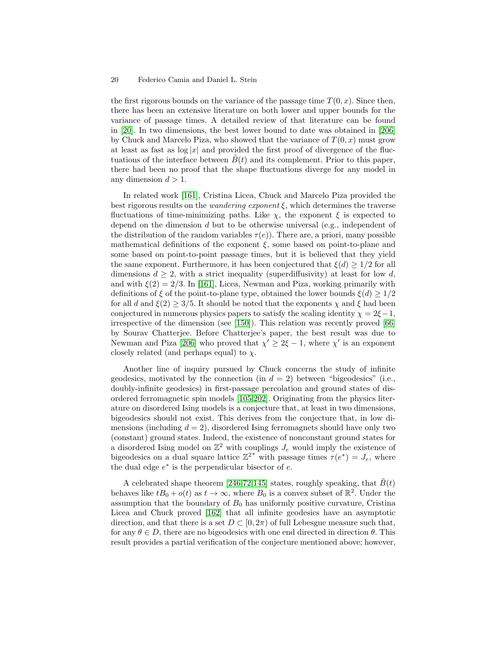the first rigorous bounds on the variance of the passage time  $T(0, x)$ . Since then, there has been an extensive literature on both lower and upper bounds for the variance of passage times. A detailed review of that literature can be found in [\[20\]](#page-26-15). In two dimensions, the best lower bound to date was obtained in [\[206\]](#page-34-21) by Chuck and Marcelo Piza, who showed that the variance of  $T(0, x)$  must grow at least as fast as  $\log |x|$  and provided the first proof of divergence of the fluctuations of the interface between  $B(t)$  and its complement. Prior to this paper, there had been no proof that the shape fluctuations diverge for any model in any dimension  $d > 1$ .

In related work [\[161\]](#page-32-14), Cristina Licea, Chuck and Marcelo Piza provided the best rigorous results on the *wandering exponent* ξ, which determines the traverse fluctuations of time-minimizing paths. Like  $\chi$ , the exponent  $\xi$  is expected to depend on the dimension d but to be otherwise universal (e.g., independent of the distribution of the random variables  $\tau(e)$ ). There are, a priori, many possible mathematical definitions of the exponent  $\xi$ , some based on point-to-plane and some based on point-to-point passage times, but it is believed that they yield the same exponent. Furthermore, it has been conjectured that  $\xi(d) \geq 1/2$  for all dimensions  $d \geq 2$ , with a strict inequality (superdiffusivity) at least for low d, and with  $\xi(2) = 2/3$ . In [\[161\]](#page-32-14), Licea, Newman and Piza, working primarily with definitions of  $\xi$  of the point-to-plane type, obtained the lower bounds  $\xi(d) \geq 1/2$ for all d and  $\xi(2) > 3/5$ . It should be noted that the exponents  $\chi$  and  $\xi$  had been conjectured in numerous physics papers to satisfy the scaling identity  $\chi = 2\xi - 1$ , irrespective of the dimension (see [\[150\]](#page-31-12)). This relation was recently proved [\[66\]](#page-28-7) by Sourav Chatterjee. Before Chatterjee's paper, the best result was due to Newman and Piza [\[206\]](#page-34-21) who proved that  $\chi' \geq 2\xi - 1$ , where  $\chi'$  is an exponent closely related (and perhaps equal) to  $\chi$ .

Another line of inquiry pursued by Chuck concerns the study of infinite geodesics, motivated by the connection (in  $d = 2$ ) between "bigeodesics" (i.e., doubly-infinite geodesics) in first-passage percolation and ground states of disordered ferromagnetic spin models [\[105](#page-30-18)[,202\]](#page-34-22). Originating from the physics literature on disordered Ising models is a conjecture that, at least in two dimensions, bigeodesics should not exist. This derives from the conjecture that, in low dimensions (including  $d = 2$ ), disordered Ising ferromagnets should have only two (constant) ground states. Indeed, the existence of nonconstant ground states for a disordered Ising model on  $\mathbb{Z}^2$  with couplings  $J_e$  would imply the existence of bigeodesics on a dual square lattice  $\mathbb{Z}^2^*$  with passage times  $\tau(e^*) = J_e$ , where the dual edge  $e^*$  is the perpendicular bisector of  $e$ .

A celebrated shape theorem [\[246](#page-36-12)[,72,](#page-28-8)[145\]](#page-31-13) states, roughly speaking, that  $\hat{B}(t)$ behaves like  $tB_0 + o(t)$  as  $t \to \infty$ , where  $B_0$  is a convex subset of  $\mathbb{R}^2$ . Under the assumption that the boundary of  $B_0$  has uniformly positive curvature, Cristina Licea and Chuck proved [\[162\]](#page-32-15) that all infinite geodesics have an asymptotic direction, and that there is a set  $D \subset [0, 2\pi)$  of full Lebesgue measure such that, for any  $\theta \in D$ , there are no bigeodesics with one end directed in direction  $\theta$ . This result provides a partial verification of the conjecture mentioned above; however,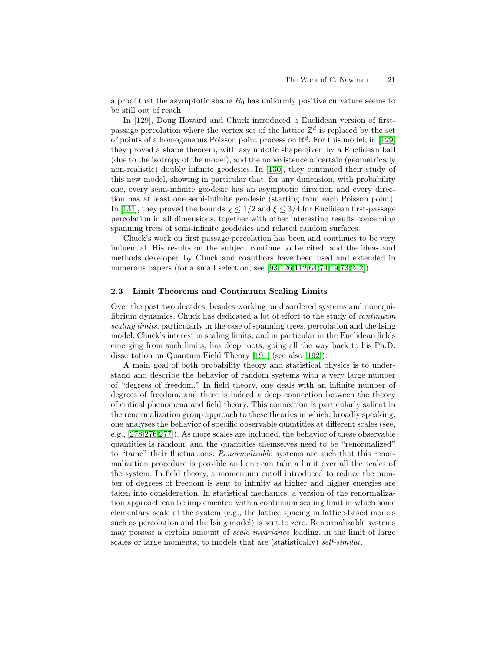a proof that the asymptotic shape  $B_0$  has uniformly positive curvature seems to be still out of reach.

In [\[129\]](#page-31-15), Doug Howard and Chuck introduced a Euclidean version of firstpassage percolation where the vertex set of the lattice  $\mathbb{Z}^d$  is replaced by the set of points of a homogeneous Poisson point process on  $\mathbb{R}^d$ . For this model, in [\[129\]](#page-31-15) they proved a shape theorem, with asymptotic shape given by a Euclidean ball (due to the isotropy of the model), and the nonexistence of certain (geometrically non-realistic) doubly infinite geodesics. In [\[130\]](#page-31-16), they continued their study of this new model, showing in particular that, for any dimension, with probability one, every semi-infinite geodesic has an asymptotic direction and every direction has at least one semi-infinite geodesic (starting from each Poisson point). In [\[131\]](#page-31-17), they proved the bounds  $\chi \leq 1/2$  and  $\xi \leq 3/4$  for Euclidean first-passage percolation in all dimensions, together with other interesting results concerning spanning trees of semi-infinite geodesics and related random surfaces.

Chuck's work on first passage percolation has been and continues to be very influential. His results on the subject continue to be cited, and the ideas and methods developed by Chuck and coauthors have been used and extended in numerous papers (for a small selection, see [\[93](#page-29-15)[,126,](#page-31-18)[112,](#page-30-19)[64,](#page-28-9)[74](#page-28-10)[,19,](#page-26-16)[73](#page-28-11)[,242\]](#page-35-21)).

# <span id="page-20-0"></span>2.3 Limit Theorems and Continuum Scaling Limits

Over the past two decades, besides working on disordered systems and nonequilibrium dynamics, Chuck has dedicated a lot of effort to the study of *continuum scaling limits*, particularly in the case of spanning trees, percolation and the Ising model. Chuck's interest in scaling limits, and in particular in the Euclidean fields emerging from such limits, has deep roots, going all the way back to his Ph.D. dissertation on Quantum Field Theory [\[191\]](#page-33-15) (see also [\[192\]](#page-33-16)).

A main goal of both probability theory and statistical physics is to understand and describe the behavior of random systems with a very large number of "degrees of freedom." In field theory, one deals with an infinite number of degrees of freedom, and there is indeed a deep connection between the theory of critical phenomena and field theory. This connection is particularly salient in the renormalization group approach to these theories in which, broadly speaking, one analyses the behavior of specific observable quantities at different scales (see, e.g., [\[278,](#page-37-9)[276,](#page-37-10)[277\]](#page-37-11)). As more scales are included, the behavior of these observable quantities is random, and the quantities themselves need to be "renormalized" to "tame" their fluctuations. *Renormalizable* systems are such that this renormalization procedure is possible and one can take a limit over all the scales of the system. In field theory, a momentum cutoff introduced to reduce the number of degrees of freedom is sent to infinity as higher and higher energies are taken into consideration. In statistical mechanics, a version of the renormalization approach can be implemented with a continuum scaling limit in which some elementary scale of the system (e.g., the lattice spacing in lattice-based models such as percolation and the Ising model) is sent to zero. Renormalizable systems may possess a certain amount of *scale invariance* leading, in the limit of large scales or large momenta, to models that are (statistically) *self-similar*.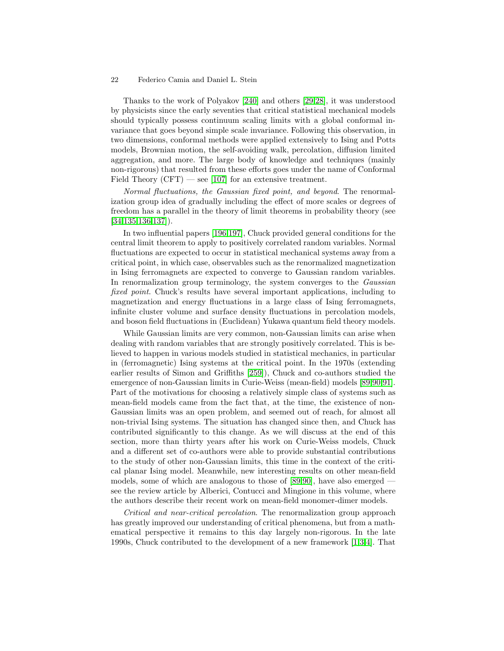Thanks to the work of Polyakov [\[240\]](#page-35-22) and others [\[29,](#page-26-17)[28\]](#page-26-18), it was understood by physicists since the early seventies that critical statistical mechanical models should typically possess continuum scaling limits with a global conformal invariance that goes beyond simple scale invariance. Following this observation, in two dimensions, conformal methods were applied extensively to Ising and Potts models, Brownian motion, the self-avoiding walk, percolation, diffusion limited aggregation, and more. The large body of knowledge and techniques (mainly non-rigorous) that resulted from these efforts goes under the name of Conformal Field Theory  $(CFT)$  — see [\[107\]](#page-30-20) for an extensive treatment.

*Normal fluctuations, the Gaussian fixed point, and beyond*. The renormalization group idea of gradually including the effect of more scales or degrees of freedom has a parallel in the theory of limit theorems in probability theory (see  $[34,135,136,137]$  $[34,135,136,137]$  $[34,135,136,137]$  $[34,135,136,137]$ .

In two influential papers [\[196,](#page-34-23)[197\]](#page-34-24), Chuck provided general conditions for the central limit theorem to apply to positively correlated random variables. Normal fluctuations are expected to occur in statistical mechanical systems away from a critical point, in which case, observables such as the renormalized magnetization in Ising ferromagnets are expected to converge to Gaussian random variables. In renormalization group terminology, the system converges to the *Gaussian fixed point*. Chuck's results have several important applications, including to magnetization and energy fluctuations in a large class of Ising ferromagnets, infinite cluster volume and surface density fluctuations in percolation models, and boson field fluctuations in (Euclidean) Yukawa quantum field theory models.

While Gaussian limits are very common, non-Gaussian limits can arise when dealing with random variables that are strongly positively correlated. This is believed to happen in various models studied in statistical mechanics, in particular in (ferromagnetic) Ising systems at the critical point. In the 1970s (extending earlier results of Simon and Griffiths [\[259\]](#page-36-13)), Chuck and co-authors studied the emergence of non-Gaussian limits in Curie-Weiss (mean-field) models [\[89](#page-29-16)[,90](#page-29-17)[,91\]](#page-29-18). Part of the motivations for choosing a relatively simple class of systems such as mean-field models came from the fact that, at the time, the existence of non-Gaussian limits was an open problem, and seemed out of reach, for almost all non-trivial Ising systems. The situation has changed since then, and Chuck has contributed significantly to this change. As we will discuss at the end of this section, more than thirty years after his work on Curie-Weiss models, Chuck and a different set of co-authors were able to provide substantial contributions to the study of other non-Gaussian limits, this time in the context of the critical planar Ising model. Meanwhile, new interesting results on other mean-field models, some of which are analogous to those of [\[89,](#page-29-16)[90\]](#page-29-17), have also emerged see the review article by Alberici, Contucci and Mingione in this volume, where the authors describe their recent work on mean-field monomer-dimer models.

*Critical and near-critical percolation*. The renormalization group approach has greatly improved our understanding of critical phenomena, but from a mathematical perspective it remains to this day largely non-rigorous. In the late 1990s, Chuck contributed to the development of a new framework [\[1,](#page-25-10)[3](#page-25-11)[,4\]](#page-25-12). That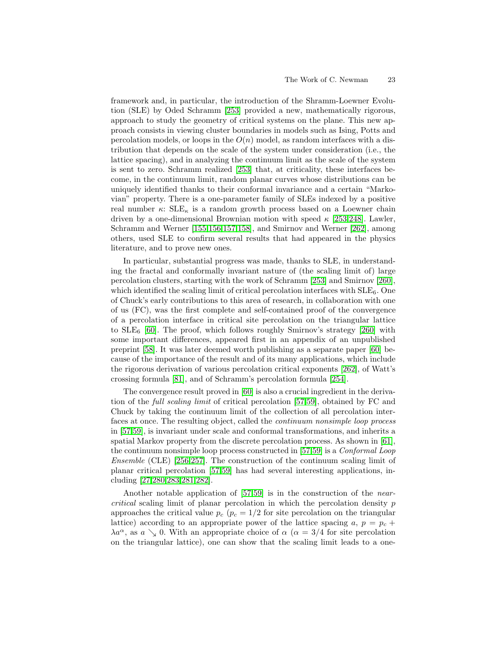framework and, in particular, the introduction of the Shramm-Loewner Evolution (SLE) by Oded Schramm [\[253\]](#page-36-14) provided a new, mathematically rigorous, approach to study the geometry of critical systems on the plane. This new approach consists in viewing cluster boundaries in models such as Ising, Potts and percolation models, or loops in the  $O(n)$  model, as random interfaces with a distribution that depends on the scale of the system under consideration (i.e., the lattice spacing), and in analyzing the continuum limit as the scale of the system is sent to zero. Schramm realized [\[253\]](#page-36-14) that, at criticality, these interfaces become, in the continuum limit, random planar curves whose distributions can be uniquely identified thanks to their conformal invariance and a certain "Markovian" property. There is a one-parameter family of SLEs indexed by a positive real number  $\kappa$ :  $SLE_{\kappa}$  is a random growth process based on a Loewner chain driven by a one-dimensional Brownian motion with speed  $\kappa$  [\[253](#page-36-14)[,248\]](#page-36-15). Lawler, Schramm and Werner [\[155](#page-32-16)[,156](#page-32-17)[,157,](#page-32-18)[158\]](#page-32-19), and Smirnov and Werner [\[262\]](#page-36-16), among others, used SLE to confirm several results that had appeared in the physics literature, and to prove new ones.

In particular, substantial progress was made, thanks to SLE, in understanding the fractal and conformally invariant nature of (the scaling limit of) large percolation clusters, starting with the work of Schramm [\[253\]](#page-36-14) and Smirnov [\[260\]](#page-36-17), which identified the scaling limit of critical percolation interfaces with  $SLE<sub>6</sub>$ . One of Chuck's early contributions to this area of research, in collaboration with one of us (FC), was the first complete and self-contained proof of the convergence of a percolation interface in critical site percolation on the triangular lattice to  $SLE_6$  [\[60\]](#page-28-12). The proof, which follows roughly Smirnov's strategy [\[260\]](#page-36-17) with some important differences, appeared first in an appendix of an unpublished preprint [\[58\]](#page-28-13). It was later deemed worth publishing as a separate paper [\[60\]](#page-28-12) because of the importance of the result and of its many applications, which include the rigorous derivation of various percolation critical exponents [\[262\]](#page-36-16), of Watt's crossing formula [\[81\]](#page-29-19), and of Schramm's percolation formula [\[254\]](#page-36-18).

The convergence result proved in [\[60\]](#page-28-12) is also a crucial ingredient in the derivation of the *full scaling limit* of critical percolation [\[57,](#page-28-14)[59\]](#page-28-15), obtained by FC and Chuck by taking the continuum limit of the collection of all percolation interfaces at once. The resulting object, called the *continuum nonsimple loop process* in [\[57](#page-28-14)[,59\]](#page-28-15), is invariant under scale and conformal transformations, and inherits a spatial Markov property from the discrete percolation process. As shown in [\[61\]](#page-28-16), the continuum nonsimple loop process constructed in [\[57,](#page-28-14)[59\]](#page-28-15) is a *Conformal Loop Ensemble* (CLE) [\[256](#page-36-19)[,257\]](#page-36-20). The construction of the continuum scaling limit of planar critical percolation [\[57,](#page-28-14)[59\]](#page-28-15) has had several interesting applications, including [\[27](#page-26-19)[,280,](#page-37-12)[283,](#page-37-13)[281](#page-37-14)[,282\]](#page-37-15).

Another notable application of [\[57](#page-28-14)[,59\]](#page-28-15) is in the construction of the *nearcritical* scaling limit of planar percolation in which the percolation density p approaches the critical value  $p_c$  ( $p_c = 1/2$  for site percolation on the triangular lattice) according to an appropriate power of the lattice spacing  $a, p = p_c + q_c$  $\lambda a^{\alpha}$ , as  $a \searrow 0$ . With an appropriate choice of  $\alpha$  ( $\alpha = 3/4$  for site percolation on the triangular lattice), one can show that the scaling limit leads to a one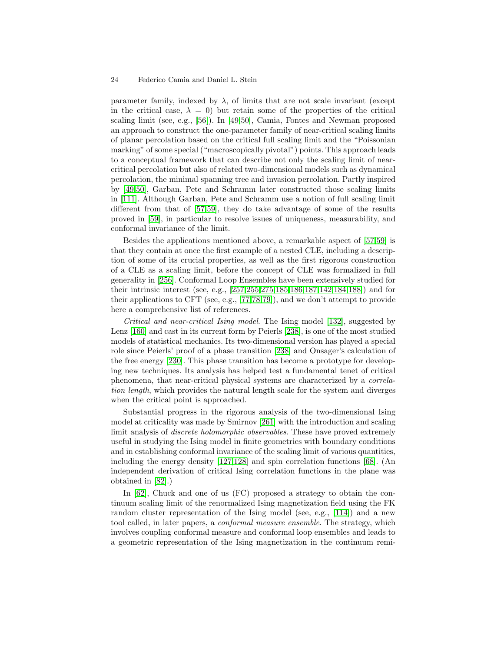parameter family, indexed by  $\lambda$ , of limits that are not scale invariant (except in the critical case,  $\lambda = 0$ ) but retain some of the properties of the critical scaling limit (see, e.g., [\[56\]](#page-28-17)). In [\[49,](#page-27-16)[50\]](#page-27-17), Camia, Fontes and Newman proposed an approach to construct the one-parameter family of near-critical scaling limits of planar percolation based on the critical full scaling limit and the "Poissonian marking" of some special ("macroscopically pivotal") points. This approach leads to a conceptual framework that can describe not only the scaling limit of nearcritical percolation but also of related two-dimensional models such as dynamical percolation, the minimal spanning tree and invasion percolation. Partly inspired by [\[49,](#page-27-16)[50\]](#page-27-17), Garban, Pete and Schramm later constructed those scaling limits in [\[111\]](#page-30-21). Although Garban, Pete and Schramm use a notion of full scaling limit different from that of [\[57,](#page-28-14)[59\]](#page-28-15), they do take advantage of some of the results proved in [\[59\]](#page-28-15), in particular to resolve issues of uniqueness, measurability, and conformal invariance of the limit.

Besides the applications mentioned above, a remarkable aspect of [\[57](#page-28-14)[,59\]](#page-28-15) is that they contain at once the first example of a nested CLE, including a description of some of its crucial properties, as well as the first rigorous construction of a CLE as a scaling limit, before the concept of CLE was formalized in full generality in [\[256\]](#page-36-19). Conformal Loop Ensembles have been extensively studied for their intrinsic interest (see, e.g., [\[257,](#page-36-20)[255](#page-36-21)[,275](#page-37-16)[,185,](#page-33-17)[186,](#page-33-18)[187](#page-33-19)[,142,](#page-31-22)[184](#page-33-20)[,188\]](#page-33-21)) and for their applications to CFT (see, e.g., [\[77](#page-28-18)[,78,](#page-28-19)[79\]](#page-29-20)), and we don't attempt to provide here a comprehensive list of references.

*Critical and near-critical Ising model*. The Ising model [\[132\]](#page-31-23), suggested by Lenz [\[160\]](#page-32-20) and cast in its current form by Peierls [\[238\]](#page-35-17), is one of the most studied models of statistical mechanics. Its two-dimensional version has played a special role since Peierls' proof of a phase transition [\[238\]](#page-35-17) and Onsager's calculation of the free energy [\[230\]](#page-35-18). This phase transition has become a prototype for developing new techniques. Its analysis has helped test a fundamental tenet of critical phenomena, that near-critical physical systems are characterized by a *correlation length*, which provides the natural length scale for the system and diverges when the critical point is approached.

Substantial progress in the rigorous analysis of the two-dimensional Ising model at criticality was made by Smirnov [\[261\]](#page-36-22) with the introduction and scaling limit analysis of *discrete holomorphic observables*. These have proved extremely useful in studying the Ising model in finite geometries with boundary conditions and in establishing conformal invariance of the scaling limit of various quantities, including the energy density [\[127](#page-31-24)[,128\]](#page-31-25) and spin correlation functions [\[68\]](#page-28-20). (An independent derivation of critical Ising correlation functions in the plane was obtained in [\[82\]](#page-29-21).)

In [\[62\]](#page-28-21), Chuck and one of us (FC) proposed a strategy to obtain the continuum scaling limit of the renormalized Ising magnetization field using the FK random cluster representation of the Ising model (see, e.g., [\[114\]](#page-30-4)) and a new tool called, in later papers, a *conformal measure ensemble*. The strategy, which involves coupling conformal measure and conformal loop ensembles and leads to a geometric representation of the Ising magnetization in the continuum remi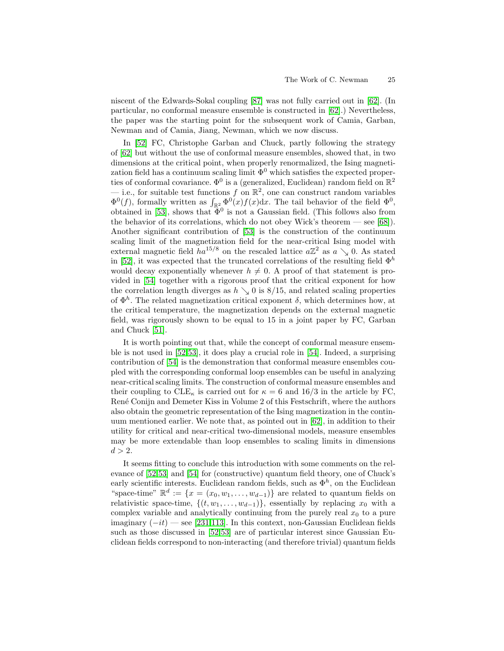niscent of the Edwards-Sokal coupling [\[87\]](#page-29-22) was not fully carried out in [\[62\]](#page-28-21). (In particular, no conformal measure ensemble is constructed in [\[62\]](#page-28-21).) Nevertheless, the paper was the starting point for the subsequent work of Camia, Garban, Newman and of Camia, Jiang, Newman, which we now discuss.

In [\[52\]](#page-27-18) FC, Christophe Garban and Chuck, partly following the strategy of [\[62\]](#page-28-21) but without the use of conformal measure ensembles, showed that, in two dimensions at the critical point, when properly renormalized, the Ising magnetization field has a continuum scaling limit  $\Phi^0$  which satisfies the expected properties of conformal covariance.  $\Phi^0$  is a (generalized, Euclidean) random field on  $\mathbb{R}^2$ — i.e., for suitable test functions f on  $\mathbb{R}^2$ , one can construct random variables  $\Phi^0(f)$ , formally written as  $\int_{\mathbb{R}^2} \Phi^0(x) f(x) dx$ . The tail behavior of the field  $\Phi^0$ , obtained in [\[53\]](#page-27-19), shows that  $\Phi^0$  is not a Gaussian field. (This follows also from the behavior of its correlations, which do not obey Wick's theorem  $-$  see [\[68\]](#page-28-20)). Another significant contribution of [\[53\]](#page-27-19) is the construction of the continuum scaling limit of the magnetization field for the near-critical Ising model with external magnetic field  $ha^{15/8}$  on the rescaled lattice  $a\mathbb{Z}^2$  as  $a \searrow 0$ . As stated in [\[52\]](#page-27-18), it was expected that the truncated correlations of the resulting field  $\Phi^h$ would decay exponentially whenever  $h \neq 0$ . A proof of that statement is provided in [\[54\]](#page-27-6) together with a rigorous proof that the critical exponent for how the correlation length diverges as  $h \searrow 0$  is 8/15, and related scaling properties of  $\Phi^h$ . The related magnetization critical exponent  $\delta$ , which determines how, at the critical temperature, the magnetization depends on the external magnetic field, was rigorously shown to be equal to 15 in a joint paper by FC, Garban and Chuck [\[51\]](#page-27-20).

It is worth pointing out that, while the concept of conformal measure ensemble is not used in [\[52](#page-27-18)[,53\]](#page-27-19), it does play a crucial role in [\[54\]](#page-27-6). Indeed, a surprising contribution of [\[54\]](#page-27-6) is the demonstration that conformal measure ensembles coupled with the corresponding conformal loop ensembles can be useful in analyzing near-critical scaling limits. The construction of conformal measure ensembles and their coupling to  $CLE_{\kappa}$  is carried out for  $\kappa = 6$  and  $16/3$  in the article by FC, René Conijn and Demeter Kiss in Volume 2 of this Festschrift, where the authors also obtain the geometric representation of the Ising magnetization in the continuum mentioned earlier. We note that, as pointed out in [\[62\]](#page-28-21), in addition to their utility for critical and near-critical two-dimensional models, measure ensembles may be more extendable than loop ensembles to scaling limits in dimensions  $d > 2$ .

It seems fitting to conclude this introduction with some comments on the relevance of [\[52,](#page-27-18)[53\]](#page-27-19) and [\[54\]](#page-27-6) for (constructive) quantum field theory, one of Chuck's early scientific interests. Euclidean random fields, such as  $\Phi^h$ , on the Euclidean "space-time"  $\mathbb{R}^d := \{x = (x_0, w_1, \dots, w_{d-1})\}$  are related to quantum fields on relativistic space-time,  $\{(t, w_1, \ldots, w_{d-1})\}$ , essentially by replacing  $x_0$  with a complex variable and analytically continuing from the purely real  $x_0$  to a pure imaginary  $(-it)$  — see [\[231](#page-35-23)[,113\]](#page-30-22). In this context, non-Gaussian Euclidean fields such as those discussed in [\[52](#page-27-18)[,53\]](#page-27-19) are of particular interest since Gaussian Euclidean fields correspond to non-interacting (and therefore trivial) quantum fields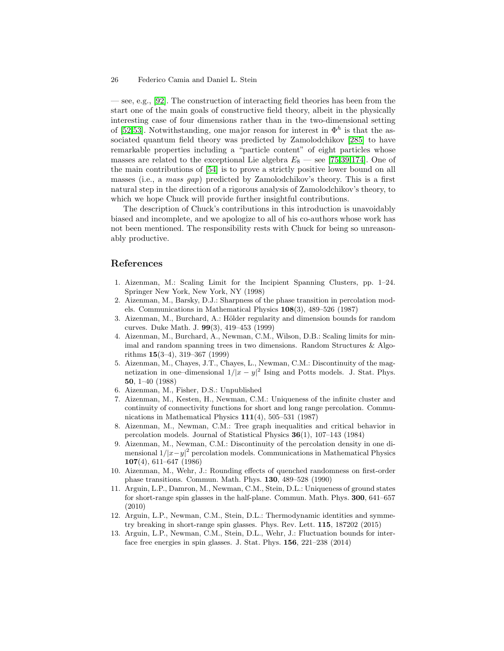— see, e.g., [\[92\]](#page-29-23). The construction of interacting field theories has been from the start one of the main goals of constructive field theory, albeit in the physically interesting case of four dimensions rather than in the two-dimensional setting of [\[52,](#page-27-18)[53\]](#page-27-19). Notwithstanding, one major reason for interest in  $\Phi^h$  is that the associated quantum field theory was predicted by Zamolodchikov [\[285\]](#page-37-17) to have remarkable properties including a "particle content" of eight particles whose masses are related to the exceptional Lie algebra  $E_8$  — see [\[75,](#page-28-22)[39](#page-27-21)[,174\]](#page-33-22). One of the main contributions of [\[54\]](#page-27-6) is to prove a strictly positive lower bound on all masses (i.e., a *mass gap*) predicted by Zamolodchikov's theory. This is a first natural step in the direction of a rigorous analysis of Zamolodchikov's theory, to which we hope Chuck will provide further insightful contributions.

The description of Chuck's contributions in this introduction is unavoidably biased and incomplete, and we apologize to all of his co-authors whose work has not been mentioned. The responsibility rests with Chuck for being so unreasonably productive.

# <span id="page-25-10"></span>References

- 1. Aizenman, M.: Scaling Limit for the Incipient Spanning Clusters, pp. 1–24. Springer New York, New York, NY (1998)
- <span id="page-25-9"></span>2. Aizenman, M., Barsky, D.J.: Sharpness of the phase transition in percolation models. Communications in Mathematical Physics 108(3), 489–526 (1987)
- <span id="page-25-11"></span>3. Aizenman, M., Burchard, A.: Hölder regularity and dimension bounds for random curves. Duke Math. J. 99(3), 419–453 (1999)
- <span id="page-25-12"></span>4. Aizenman, M., Burchard, A., Newman, C.M., Wilson, D.B.: Scaling limits for minimal and random spanning trees in two dimensions. Random Structures & Algorithms 15(3–4), 319–367 (1999)
- <span id="page-25-7"></span>5. Aizenman, M., Chayes, J.T., Chayes, L., Newman, C.M.: Discontinuity of the magnetization in one–dimensional  $1/|x-y|^2$  Ising and Potts models. J. Stat. Phys. 50, 1–40 (1988)
- <span id="page-25-5"></span><span id="page-25-4"></span>6. Aizenman, M., Fisher, D.S.: Unpublished
- 7. Aizenman, M., Kesten, H., Newman, C.M.: Uniqueness of the infinite cluster and continuity of connectivity functions for short and long range percolation. Communications in Mathematical Physics  $111(4)$ , 505–531 (1987)
- <span id="page-25-8"></span>8. Aizenman, M., Newman, C.M.: Tree graph inequalities and critical behavior in percolation models. Journal of Statistical Physics 36(1), 107–143 (1984)
- <span id="page-25-6"></span>9. Aizenman, M., Newman, C.M.: Discontinuity of the percolation density in one dimensional  $1/|x-y|^2$  percolation models. Communications in Mathematical Physics 107(4), 611–647 (1986)
- <span id="page-25-0"></span>10. Aizenman, M., Wehr, J.: Rounding effects of quenched randomness on first-order phase transitions. Commun. Math. Phys. 130, 489–528 (1990)
- <span id="page-25-2"></span>11. Arguin, L.P., Damron, M., Newman, C.M., Stein, D.L.: Uniqueness of ground states for short-range spin glasses in the half-plane. Commun. Math. Phys. 300, 641–657 (2010)
- <span id="page-25-1"></span>12. Arguin, L.P., Newman, C.M., Stein, D.L.: Thermodynamic identities and symmetry breaking in short-range spin glasses. Phys. Rev. Lett. 115, 187202 (2015)
- <span id="page-25-3"></span>13. Arguin, L.P., Newman, C.M., Stein, D.L., Wehr, J.: Fluctuation bounds for interface free energies in spin glasses. J. Stat. Phys. 156, 221–238 (2014)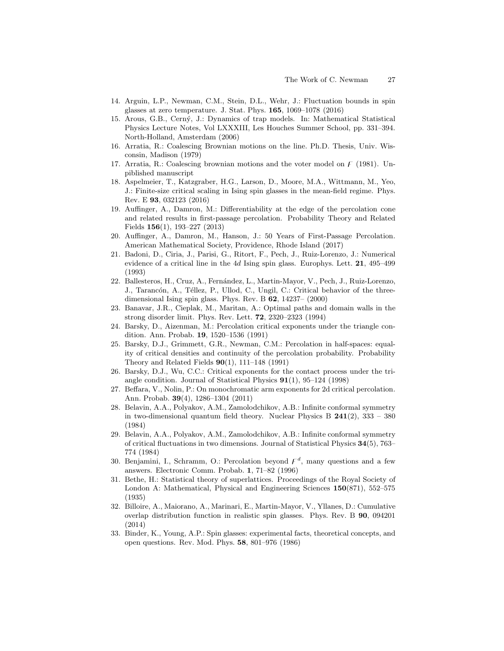- <span id="page-26-7"></span><span id="page-26-5"></span>14. Arguin, L.P., Newman, C.M., Stein, D.L., Wehr, J.: Fluctuation bounds in spin glasses at zero temperature. J. Stat. Phys. 165, 1069–1078 (2016)
- 15. Arous, G.B., Cern´y, J.: Dynamics of trap models. In: Mathematical Statistical Physics Lecture Notes, Vol LXXXIII, Les Houches Summer School, pp. 331–394. North-Holland, Amsterdam (2006)
- <span id="page-26-9"></span><span id="page-26-8"></span>16. Arratia, R.: Coalescing Brownian motions on the line. Ph.D. Thesis, Univ. Wisconsin, Madison (1979)
- <span id="page-26-4"></span>17. Arratia, R.: Coalescing brownian motions and the voter model on  $\overline{F}$  (1981). Unpiblished manuscript
- 18. Aspelmeier, T., Katzgraber, H.G., Larson, D., Moore, M.A., Wittmann, M., Yeo, J.: Finite-size critical scaling in Ising spin glasses in the mean-field regime. Phys. Rev. E 93, 032123 (2016)
- <span id="page-26-16"></span>19. Auffinger, A., Damron, M.: Differentiability at the edge of the percolation cone and related results in first-passage percolation. Probability Theory and Related Fields 156(1), 193–227 (2013)
- <span id="page-26-15"></span>20. Auffinger, A., Damron, M., Hanson, J.: 50 Years of First-Passage Percolation. American Mathematical Society, Providence, Rhode Island (2017)
- <span id="page-26-1"></span>21. Badoni, D., Ciria, J., Parisi, G., Ritort, F., Pech, J., Ruiz-Lorenzo, J.: Numerical evidence of a critical line in the 4d Ising spin glass. Europhys. Lett. 21, 495–499 (1993)
- <span id="page-26-3"></span>22. Ballesteros, H., Cruz, A., Fern´andez, L., Martin-Mayor, V., Pech, J., Ruiz-Lorenzo, J., Tarancón, A., Téllez, P., Ullod, C., Ungil, C.: Critical behavior of the threedimensional Ising spin glass. Phys. Rev. B 62, 14237– (2000)
- <span id="page-26-6"></span>23. Banavar, J.R., Cieplak, M., Maritan, A.: Optimal paths and domain walls in the strong disorder limit. Phys. Rev. Lett. 72, 2320–2323 (1994)
- <span id="page-26-13"></span>24. Barsky, D., Aizenman, M.: Percolation critical exponents under the triangle condition. Ann. Probab. 19, 1520–1536 (1991)
- <span id="page-26-11"></span>25. Barsky, D.J., Grimmett, G.R., Newman, C.M.: Percolation in half-spaces: equality of critical densities and continuity of the percolation probability. Probability Theory and Related Fields 90(1), 111–148 (1991)
- <span id="page-26-14"></span>26. Barsky, D.J., Wu, C.C.: Critical exponents for the contact process under the triangle condition. Journal of Statistical Physics 91(1), 95–124 (1998)
- <span id="page-26-19"></span>27. Beffara, V., Nolin, P.: On monochromatic arm exponents for 2d critical percolation. Ann. Probab. 39(4), 1286–1304 (2011)
- <span id="page-26-18"></span>28. Belavin, A.A., Polyakov, A.M., Zamolodchikov, A.B.: Infinite conformal symmetry in two-dimensional quantum field theory. Nuclear Physics B  $241(2)$ , 333 – 380 (1984)
- <span id="page-26-17"></span>29. Belavin, A.A., Polyakov, A.M., Zamolodchikov, A.B.: Infinite conformal symmetry of critical fluctuations in two dimensions. Journal of Statistical Physics 34(5), 763– 774 (1984)
- <span id="page-26-10"></span>30. Benjamini, I., Schramm, O.: Percolation beyond  $F^d$ , many questions and a few answers. Electronic Comm. Probab. 1, 71–82 (1996)
- <span id="page-26-12"></span>31. Bethe, H.: Statistical theory of superlattices. Proceedings of the Royal Society of London A: Mathematical, Physical and Engineering Sciences 150(871), 552–575 (1935)
- <span id="page-26-2"></span>32. Billoire, A., Maiorano, A., Marinari, E., Martin-Mayor, V., Yllanes, D.: Cumulative overlap distribution function in realistic spin glasses. Phys. Rev. B 90, 094201 (2014)
- <span id="page-26-0"></span>33. Binder, K., Young, A.P.: Spin glasses: experimental facts, theoretical concepts, and open questions. Rev. Mod. Phys. 58, 801–976 (1986)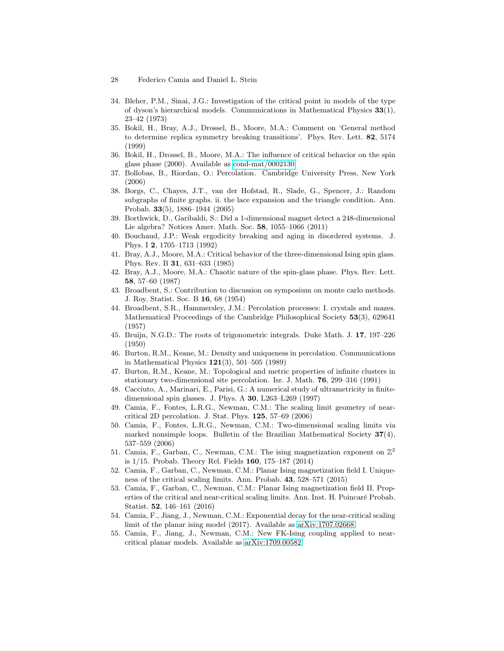- 28 Federico Camia and Daniel L. Stein
- <span id="page-27-15"></span>34. Bleher, P.M., Sinai, J.G.: Investigation of the critical point in models of the type of dyson's hierarchical models. Communications in Mathematical Physics 33(1), 23–42 (1973)
- <span id="page-27-3"></span>35. Bokil, H., Bray, A.J., Drossel, B., Moore, M.A.: Comment on 'General method to determine replica symmetry breaking transitions'. Phys. Rev. Lett. 82, 5174 (1999)
- <span id="page-27-12"></span><span id="page-27-4"></span>36. Bokil, H., Drossel, B., Moore, M.A.: The influence of critical behavior on the spin glass phase (2000). Available as [cond-mat/0002130.](http://arxiv.org/abs/cond-mat/0002130)
- 37. Bollobas, B., Riordan, O.: Percolation. Cambridge University Press, New York (2006)
- <span id="page-27-14"></span>38. Borgs, C., Chayes, J.T., van der Hofstad, R., Slade, G., Spencer, J.: Random subgraphs of finite graphs. ii. the lace expansion and the triangle condition. Ann. Probab. 33(5), 1886–1944 (2005)
- <span id="page-27-21"></span>39. Borthwick, D., Garibaldi, S.: Did a 1-dimensional magnet detect a 248-dimensional Lie algebra? Notices Amer. Math. Soc. 58, 1055–1066 (2011)
- <span id="page-27-8"></span>40. Bouchaud, J.P.: Weak ergodicity breaking and aging in disordered systems. J. Phys. I 2, 1705–1713 (1992)
- <span id="page-27-0"></span>41. Bray, A.J., Moore, M.A.: Critical behavior of the three-dimensional Ising spin glass. Phys. Rev. B 31, 631–633 (1985)
- <span id="page-27-1"></span>42. Bray, A.J., Moore, M.A.: Chaotic nature of the spin-glass phase. Phys. Rev. Lett. 58, 57–60 (1987)
- <span id="page-27-10"></span>43. Broadbent, S.: Contribution to discussion on symposium on monte carlo methods. J. Roy. Statist. Soc. B 16, 68 (1954)
- <span id="page-27-11"></span>44. Broadbent, S.R., Hammersley, J.M.: Percolation processes: I. crystals and mazes. Mathematical Proceedings of the Cambridge Philosophical Society 53(3), 629641 (1957)
- <span id="page-27-9"></span>45. Bruijn, N.G.D.: The roots of trigonometric integrals. Duke Math. J. 17, 197–226 (1950)
- <span id="page-27-13"></span>46. Burton, R.M., Keane, M.: Density and uniqueness in percolation. Communications in Mathematical Physics 121(3), 501–505 (1989)
- <span id="page-27-7"></span>47. Burton, R.M., Keane, M.: Topological and metric properties of infinite clusters in stationary two-dimensional site percolation. Isr. J. Math. 76, 299–316 (1991)
- <span id="page-27-2"></span>48. Cacciuto, A., Marinari, E., Parisi, G.: A numerical study of ultrametricity in finitedimensional spin glasses. J. Phys. A 30, L263–L269 (1997)
- <span id="page-27-16"></span>49. Camia, F., Fontes, L.R.G., Newman, C.M.: The scaling limit geometry of nearcritical 2D percolation. J. Stat. Phys. 125, 57–69 (2006)
- <span id="page-27-17"></span>50. Camia, F., Fontes, L.R.G., Newman, C.M.: Two-dimensional scaling limits via marked nonsimple loops. Bulletin of the Brazilian Mathematical Society  $37(4)$ , 537–559 (2006)
- <span id="page-27-20"></span>51. Camia, F., Garban, C., Newman, C.M.: The ising magnetization exponent on  $\mathbb{Z}^2$ is 1/15. Probab. Theory Rel. Fields 160, 175–187 (2014)
- <span id="page-27-18"></span>52. Camia, F., Garban, C., Newman, C.M.: Planar Ising magnetization field I. Uniqueness of the critical scaling limits. Ann. Probab. 43, 528–571 (2015)
- <span id="page-27-19"></span>53. Camia, F., Garban, C., Newman, C.M.: Planar Ising magnetization field II. Properties of the critical and near-critical scaling limits. Ann. Inst. H. Poincaré Probab. Statist. 52, 146–161 (2016)
- <span id="page-27-6"></span>54. Camia, F., Jiang, J., Newman, C.M.: Exponential decay for the near-critical scaling limit of the planar ising model (2017). Available as [arXiv:1707.02668](http://arxiv.org/abs/1707.02668)
- <span id="page-27-5"></span>55. Camia, F., Jiang, J., Newman, C.M.: New FK-Ising coupling applied to nearcritical planar models. Available as [arXiv:1709.00582](http://arxiv.org/abs/1709.00582)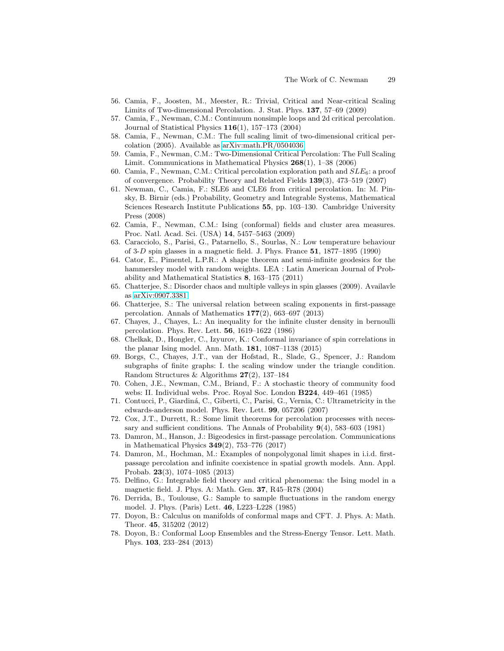- <span id="page-28-17"></span><span id="page-28-14"></span>56. Camia, F., Joosten, M., Meester, R.: Trivial, Critical and Near-critical Scaling Limits of Two-dimensional Percolation. J. Stat. Phys. 137, 57–69 (2009)
- 57. Camia, F., Newman, C.M.: Continuum nonsimple loops and 2d critical percolation. Journal of Statistical Physics 116(1), 157–173 (2004)
- <span id="page-28-13"></span>58. Camia, F., Newman, C.M.: The full scaling limit of two-dimensional critical percolation (2005). Available as [arXiv:math.PR/0504036](http://arxiv.org/abs/math/0504036)
- <span id="page-28-15"></span>59. Camia, F., Newman, C.M.: Two-Dimensional Critical Percolation: The Full Scaling Limit. Communications in Mathematical Physics 268(1), 1–38 (2006)
- <span id="page-28-12"></span>60. Camia, F., Newman, C.M.: Critical percolation exploration path and  $SLE_6$ : a proof of convergence. Probability Theory and Related Fields 139(3), 473–519 (2007)
- <span id="page-28-16"></span>61. Newman, C., Camia, F.: SLE6 and CLE6 from critical percolation. In: M. Pinsky, B. Birnir (eds.) Probability, Geometry and Integrable Systems, Mathematical Sciences Research Institute Publications 55, pp. 103–130. Cambridge University Press (2008)
- <span id="page-28-21"></span>62. Camia, F., Newman, C.M.: Ising (conformal) fields and cluster area measures. Proc. Natl. Acad. Sci. (USA) 14, 5457–5463 (2009)
- <span id="page-28-0"></span>63. Caracciolo, S., Parisi, G., Patarnello, S., Sourlas, N.: Low temperature behaviour of 3-D spin glasses in a magnetic field. J. Phys. France 51, 1877–1895 (1990)
- <span id="page-28-9"></span>64. Cator, E., Pimentel, L.P.R.: A shape theorem and semi-infinite geodesics for the hammersley model with random weights. LEA : Latin American Journal of Probability and Mathematical Statistics 8, 163–175 (2011)
- <span id="page-28-7"></span><span id="page-28-3"></span>65. Chatterjee, S.: Disorder chaos and multiple valleys in spin glasses (2009). Availavle as [arXiv:0907.3381](http://arxiv.org/abs/0907.3381)
- 66. Chatterjee, S.: The universal relation between scaling exponents in first-passage percolation. Annals of Mathematics  $177(2)$ , 663–697 (2013)
- <span id="page-28-5"></span>67. Chayes, J., Chayes, L.: An inequality for the infinite cluster density in bernoulli percolation. Phys. Rev. Lett. 56, 1619–1622 (1986)
- <span id="page-28-20"></span>68. Chelkak, D., Hongler, C., Izyurov, K.: Conformal invariance of spin correlations in the planar Ising model. Ann. Math. 181, 1087–1138 (2015)
- <span id="page-28-6"></span>69. Borgs, C., Chayes, J.T., van der Hofstad, R., Slade, G., Spencer, J.: Random subgraphs of finite graphs: I. the scaling window under the triangle condition. Random Structures & Algorithms 27(2), 137–184
- <span id="page-28-4"></span>70. Cohen, J.E., Newman, C.M., Briand, F.: A stochastic theory of community food webs: II. Individual webs. Proc. Royal Soc. London B224, 449–461 (1985)
- <span id="page-28-1"></span>71. Contucci, P., Giardin´a, C., Giberti, C., Parisi, G., Vernia, C.: Ultrametricity in the edwards-anderson model. Phys. Rev. Lett. 99, 057206 (2007)
- <span id="page-28-8"></span>72. Cox, J.T., Durrett, R.: Some limit theorems for percolation processes with necessary and sufficient conditions. The Annals of Probability  $9(4)$ , 583–603 (1981)
- <span id="page-28-11"></span>73. Damron, M., Hanson, J.: Bigeodesics in first-passage percolation. Communications in Mathematical Physics 349(2), 753–776 (2017)
- <span id="page-28-10"></span>74. Damron, M., Hochman, M.: Examples of nonpolygonal limit shapes in i.i.d. firstpassage percolation and infinite coexistence in spatial growth models. Ann. Appl. Probab. 23(3), 1074–1085 (2013)
- <span id="page-28-22"></span>75. Delfino, G.: Integrable field theory and critical phenomena: the Ising model in a magnetic field. J. Phys. A: Math. Gen. 37, R45–R78 (2004)
- <span id="page-28-2"></span>76. Derrida, B., Toulouse, G.: Sample to sample fluctuations in the random energy model. J. Phys. (Paris) Lett. 46, L223–L228 (1985)
- <span id="page-28-18"></span>77. Doyon, B.: Calculus on manifolds of conformal maps and CFT. J. Phys. A: Math. Theor. 45, 315202 (2012)
- <span id="page-28-19"></span>78. Doyon, B.: Conformal Loop Ensembles and the Stress-Energy Tensor. Lett. Math. Phys. 103, 233–284 (2013)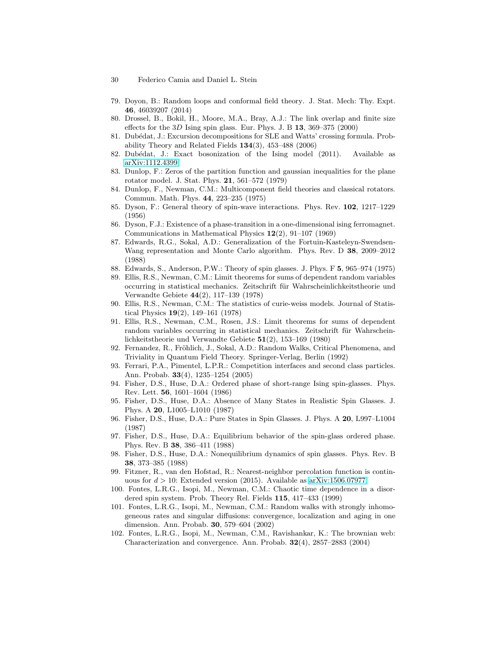- 30 Federico Camia and Daniel L. Stein
- <span id="page-29-20"></span><span id="page-29-2"></span>79. Doyon, B.: Random loops and conformal field theory. J. Stat. Mech: Thy. Expt. 46, 46039207 (2014)
- 80. Drossel, B., Bokil, H., Moore, M.A., Bray, A.J.: The link overlap and finite size effects for the  $3D$  Ising spin glass. Eur. Phys. J. B  $13$ ,  $369-375$  (2000)
- <span id="page-29-21"></span><span id="page-29-19"></span>81. Dubédat, J.: Excursion decompositions for SLE and Watts' crossing formula. Probability Theory and Related Fields  $134(3)$ , 453-488 (2006)
- <span id="page-29-9"></span>82. Dubédat, J.: Exact bosonization of the Ising model (2011). Available as [arXiv:1112.4399](http://arxiv.org/abs/1112.4399)
- 83. Dunlop, F.: Zeros of the partition function and gaussian inequalities for the plane rotator model. J. Stat. Phys. 21, 561–572 (1979)
- <span id="page-29-10"></span>84. Dunlop, F., Newman, C.M.: Multicomponent field theories and classical rotators. Commun. Math. Phys. 44, 223–235 (1975)
- <span id="page-29-11"></span>85. Dyson, F.: General theory of spin-wave interactions. Phys. Rev. 102, 1217–1229 (1956)
- <span id="page-29-14"></span>86. Dyson, F.J.: Existence of a phase-transition in a one-dimensional ising ferromagnet. Communications in Mathematical Physics 12(2), 91–107 (1969)
- <span id="page-29-22"></span>87. Edwards, R.G., Sokal, A.D.: Generalization of the Fortuin-Kasteleyn-Swendsen-Wang representation and Monte Carlo algorithm. Phys. Rev. D 38, 2009–2012 (1988)
- <span id="page-29-16"></span><span id="page-29-3"></span>88. Edwards, S., Anderson, P.W.: Theory of spin glasses. J. Phys. F 5, 965–974 (1975)
- 89. Ellis, R.S., Newman, C.M.: Limit theorems for sums of dependent random variables occurring in statistical mechanics. Zeitschrift für Wahrscheinlichkeitstheorie und Verwandte Gebiete 44(2), 117–139 (1978)
- <span id="page-29-17"></span>90. Ellis, R.S., Newman, C.M.: The statistics of curie-weiss models. Journal of Statistical Physics 19(2), 149–161 (1978)
- <span id="page-29-18"></span>91. Ellis, R.S., Newman, C.M., Rosen, J.S.: Limit theorems for sums of dependent random variables occurring in statistical mechanics. Zeitschrift für Wahrscheinlichkeitstheorie und Verwandte Gebiete 51(2), 153–169 (1980)
- <span id="page-29-23"></span>92. Fernandez, R., Fröhlich, J., Sokal, A.D.: Random Walks, Critical Phenomena, and Triviality in Quantum Field Theory. Springer-Verlag, Berlin (1992)
- <span id="page-29-15"></span>93. Ferrari, P.A., Pimentel, L.P.R.: Competition interfaces and second class particles. Ann. Probab. 33(4), 1235–1254 (2005)
- <span id="page-29-0"></span>94. Fisher, D.S., Huse, D.A.: Ordered phase of short-range Ising spin-glasses. Phys. Rev. Lett. 56, 1601–1604 (1986)
- <span id="page-29-5"></span>95. Fisher, D.S., Huse, D.A.: Absence of Many States in Realistic Spin Glasses. J. Phys. A 20, L1005–L1010 (1987)
- <span id="page-29-4"></span>96. Fisher, D.S., Huse, D.A.: Pure States in Spin Glasses. J. Phys. A 20, L997–L1004 (1987)
- <span id="page-29-1"></span>97. Fisher, D.S., Huse, D.A.: Equilibrium behavior of the spin-glass ordered phase. Phys. Rev. B 38, 386–411 (1988)
- <span id="page-29-8"></span>98. Fisher, D.S., Huse, D.A.: Nonequilibrium dynamics of spin glasses. Phys. Rev. B 38, 373–385 (1988)
- <span id="page-29-13"></span>99. Fitzner, R., van den Hofstad, R.: Nearest-neighbor percolation function is continuous for  $d > 10$ : Extended version (2015). Available as [arXiv:1506.07977](http://arxiv.org/abs/1506.07977)
- <span id="page-29-6"></span>100. Fontes, L.R.G., Isopi, M., Newman, C.M.: Chaotic time dependence in a disordered spin system. Prob. Theory Rel. Fields 115, 417–433 (1999)
- <span id="page-29-7"></span>101. Fontes, L.R.G., Isopi, M., Newman, C.M.: Random walks with strongly inhomogeneous rates and singular diffusions: convergence, localization and aging in one dimension. Ann. Probab. 30, 579–604 (2002)
- <span id="page-29-12"></span>102. Fontes, L.R.G., Isopi, M., Newman, C.M., Ravishankar, K.: The brownian web: Characterization and convergence. Ann. Probab. 32(4), 2857–2883 (2004)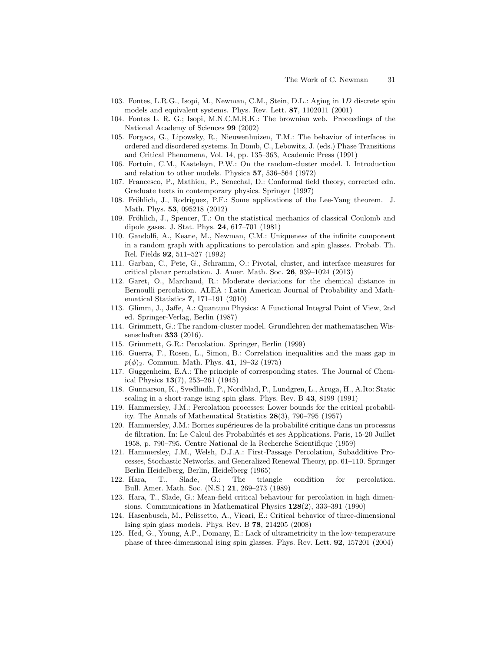- <span id="page-30-10"></span><span id="page-30-6"></span>103. Fontes, L.R.G., Isopi, M., Newman, C.M., Stein, D.L.: Aging in 1D discrete spin models and equivalent systems. Phys. Rev. Lett. 87, 1102011 (2001)
- <span id="page-30-18"></span>104. Fontes L. R. G.; Isopi, M.N.C.M.R.K.: The brownian web. Proceedings of the National Academy of Sciences 99 (2002)
- 105. Forgacs, G., Lipowsky, R., Nieuwenhuizen, T.M.: The behavior of interfaces in ordered and disordered systems. In Domb, C., Lebowitz, J. (eds.) Phase Transitions and Critical Phenomena, Vol. 14, pp. 135–363, Academic Press (1991)
- <span id="page-30-3"></span>106. Fortuin, C.M., Kasteleyn, P.W.: On the random-cluster model. I. Introduction and relation to other models. Physica 57, 536–564 (1972)
- <span id="page-30-20"></span>107. Francesco, P., Mathieu, P., Senechal, D.: Conformal field theory, corrected edn. Graduate texts in contemporary physics. Springer (1997)
- <span id="page-30-8"></span>108. Fröhlich, J., Rodriguez, P.F.: Some applications of the Lee-Yang theorem. J. Math. Phys. 53, 095218 (2012)
- <span id="page-30-9"></span>109. Fröhlich, J., Spencer, T.: On the statistical mechanics of classical Coulomb and dipole gases. J. Stat. Phys. 24, 617–701 (1981)
- <span id="page-30-5"></span>110. Gandolfi, A., Keane, M., Newman, C.M.: Uniqueness of the infinite component in a random graph with applications to percolation and spin glasses. Probab. Th. Rel. Fields 92, 511–527 (1992)
- <span id="page-30-21"></span>111. Garban, C., Pete, G., Schramm, O.: Pivotal, cluster, and interface measures for critical planar percolation. J. Amer. Math. Soc. 26, 939–1024 (2013)
- <span id="page-30-19"></span>112. Garet, O., Marchand, R.: Moderate deviations for the chemical distance in Bernoulli percolation. ALEA : Latin American Journal of Probability and Mathematical Statistics 7, 171–191 (2010)
- <span id="page-30-22"></span>113. Glimm, J., Jaffe, A.: Quantum Physics: A Functional Integral Point of View, 2nd ed. Springer-Verlag, Berlin (1987)
- <span id="page-30-4"></span>114. Grimmett, G.: The random-cluster model. Grundlehren der mathematischen Wissenschaften 333 (2016).
- <span id="page-30-13"></span><span id="page-30-7"></span>115. Grimmett, G.R.: Percolation. Springer, Berlin (1999)
- 116. Guerra, F., Rosen, L., Simon, B.: Correlation inequalities and the mass gap in  $p(\phi)_2$ . Commun. Math. Phys. 41, 19–32 (1975)
- <span id="page-30-15"></span>117. Guggenheim, E.A.: The principle of corresponding states. The Journal of Chemical Physics 13(7), 253–261 (1945)
- <span id="page-30-1"></span>118. Gunnarson, K., Svedlindh, P., Nordblad, P., Lundgren, L., Aruga, H., A.Ito: Static scaling in a short-range ising spin glass. Phys. Rev. B 43, 8199 (1991)
- <span id="page-30-11"></span>119. Hammersley, J.M.: Percolation processes: Lower bounds for the critical probability. The Annals of Mathematical Statistics 28(3), 790–795 (1957)
- <span id="page-30-12"></span>120. Hammersley, J.M.: Bornes supérieures de la probabilité critique dans un processus de filtration. In: Le Calcul des Probabilités et ses Applications. Paris, 15-20 Juillet 1958, p. 790–795. Centre National de la Recherche Scientifique (1959)
- <span id="page-30-17"></span>121. Hammersley, J.M., Welsh, D.J.A.: First-Passage Percolation, Subadditive Processes, Stochastic Networks, and Generalized Renewal Theory, pp. 61–110. Springer Berlin Heidelberg, Berlin, Heidelberg (1965)
- <span id="page-30-16"></span>122. Hara, T., Slade, G.: The triangle condition for percolation. Bull. Amer. Math. Soc. (N.S.) 21, 269–273 (1989)
- <span id="page-30-14"></span>123. Hara, T., Slade, G.: Mean-field critical behaviour for percolation in high dimensions. Communications in Mathematical Physics 128(2), 333–391 (1990)
- <span id="page-30-2"></span>124. Hasenbusch, M., Pelissetto, A., Vicari, E.: Critical behavior of three-dimensional Ising spin glass models. Phys. Rev. B 78, 214205 (2008)
- <span id="page-30-0"></span>125. Hed, G., Young, A.P., Domany, E.: Lack of ultrametricity in the low-temperature phase of three-dimensional ising spin glasses. Phys. Rev. Lett. 92, 157201 (2004)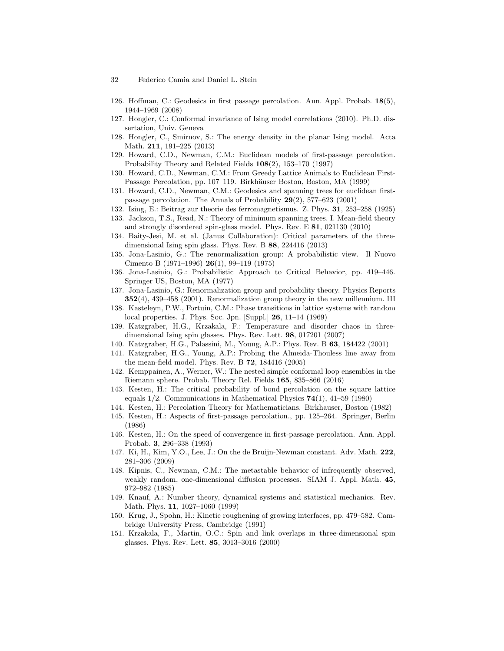- <span id="page-31-24"></span><span id="page-31-18"></span>126. Hoffman, C.: Geodesics in first passage percolation. Ann. Appl. Probab. 18(5), 1944–1969 (2008)
- <span id="page-31-25"></span>127. Hongler, C.: Conformal invariance of Ising model correlations (2010). Ph.D. dissertation, Univ. Geneva
- 128. Hongler, C., Smirnov, S.: The energy density in the planar Ising model. Acta Math. 211, 191–225 (2013)
- <span id="page-31-15"></span>129. Howard, C.D., Newman, C.M.: Euclidean models of first-passage percolation. Probability Theory and Related Fields 108(2), 153–170 (1997)
- <span id="page-31-17"></span><span id="page-31-16"></span>130. Howard, C.D., Newman, C.M.: From Greedy Lattice Animals to Euclidean First-Passage Percolation, pp. 107–119. Birkhäuser Boston, Boston, MA (1999)
- 131. Howard, C.D., Newman, C.M.: Geodesics and spanning trees for euclidean firstpassage percolation. The Annals of Probability 29(2), 577–623 (2001)
- <span id="page-31-23"></span><span id="page-31-5"></span>132. Ising, E.: Beitrag zur theorie des ferromagnetismus. Z. Phys. 31, 253–258 (1925)
- 133. Jackson, T.S., Read, N.: Theory of minimum spanning trees. I. Mean-field theory and strongly disordered spin-glass model. Phys. Rev. E 81, 021130 (2010)
- <span id="page-31-4"></span>134. Baity-Jesi, M. et al. (Janus Collaboration): Critical parameters of the threedimensional Ising spin glass. Phys. Rev. B 88, 224416 (2013)
- <span id="page-31-19"></span>135. Jona-Lasinio, G.: The renormalization group: A probabilistic view. Il Nuovo Cimento B (1971–1996) 26(1), 99–119 (1975)
- <span id="page-31-20"></span>136. Jona-Lasinio, G.: Probabilistic Approach to Critical Behavior, pp. 419–446. Springer US, Boston, MA (1977)
- <span id="page-31-21"></span>137. Jona-Lasinio, G.: Renormalization group and probability theory. Physics Reports 352(4), 439–458 (2001). Renormalization group theory in the new millennium. III
- <span id="page-31-6"></span>138. Kasteleyn, P.W., Fortuin, C.M.: Phase transitions in lattice systems with random local properties. J. Phys. Soc. Jpn. [Suppl.] 26, 11–14 (1969)
- <span id="page-31-3"></span>139. Katzgraber, H.G., Krzakala, F.: Temperature and disorder chaos in threedimensional Ising spin glasses. Phys. Rev. Lett. 98, 017201 (2007)
- <span id="page-31-2"></span><span id="page-31-1"></span>140. Katzgraber, H.G., Palassini, M., Young, A.P.: Phys. Rev. B 63, 184422 (2001)
- 141. Katzgraber, H.G., Young, A.P.: Probing the Almeida-Thouless line away from the mean-field model. Phys. Rev. B 72, 184416 (2005)
- <span id="page-31-22"></span>142. Kemppainen, A., Werner, W.: The nested simple conformal loop ensembles in the Riemann sphere. Probab. Theory Rel. Fields 165, 835–866 (2016)
- <span id="page-31-11"></span>143. Kesten, H.: The critical probability of bond percolation on the square lattice equals  $1/2$ . Communications in Mathematical Physics  $74(1)$ ,  $41-59$  (1980)
- <span id="page-31-13"></span><span id="page-31-10"></span>144. Kesten, H.: Percolation Theory for Mathematicians. Birkhauser, Boston (1982)
- 145. Kesten, H.: Aspects of first-passage percolation., pp. 125–264. Springer, Berlin (1986)
- <span id="page-31-14"></span>146. Kesten, H.: On the speed of convergence in first-passage percolation. Ann. Appl. Probab. 3, 296–338 (1993)
- <span id="page-31-9"></span>147. Ki, H., Kim, Y.O., Lee, J.: On the de Bruijn-Newman constant. Adv. Math. 222, 281–306 (2009)
- <span id="page-31-7"></span>148. Kipnis, C., Newman, C.M.: The metastable behavior of infrequently observed, weakly random, one-dimensional diffusion processes. SIAM J. Appl. Math. 45, 972–982 (1985)
- <span id="page-31-8"></span>149. Knauf, A.: Number theory, dynamical systems and statistical mechanics. Rev. Math. Phys. 11, 1027–1060 (1999)
- <span id="page-31-12"></span>150. Krug, J., Spohn, H.: Kinetic roughening of growing interfaces, pp. 479–582. Cambridge University Press, Cambridge (1991)
- <span id="page-31-0"></span>151. Krzakala, F., Martin, O.C.: Spin and link overlaps in three-dimensional spin glasses. Phys. Rev. Lett. 85, 3013–3016 (2000)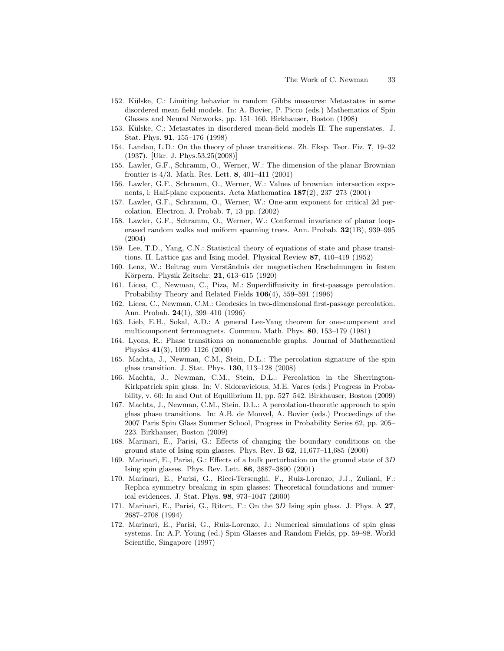- <span id="page-32-5"></span>152. Külske, C.: Limiting behavior in random Gibbs measures: Metastates in some disordered mean field models. In: A. Bovier, P. Picco (eds.) Mathematics of Spin Glasses and Neural Networks, pp. 151–160. Birkhauser, Boston (1998)
- <span id="page-32-6"></span>153. Külske, C.: Metastates in disordered mean-field models II: The superstates. J. Stat. Phys. 91, 155–176 (1998)
- <span id="page-32-16"></span><span id="page-32-13"></span>154. Landau, L.D.: On the theory of phase transitions. Zh. Eksp. Teor. Fiz. 7, 19–32 (1937). [Ukr. J. Phys.53,25(2008)]
- 155. Lawler, G.F., Schramm, O., Werner, W.: The dimension of the planar Brownian frontier is 4/3. Math. Res. Lett. 8, 401–411 (2001)
- <span id="page-32-17"></span>156. Lawler, G.F., Schramm, O., Werner, W.: Values of brownian intersection exponents, i: Half-plane exponents. Acta Mathematica 187(2), 237–273 (2001)
- <span id="page-32-18"></span>157. Lawler, G.F., Schramm, O., Werner, W.: One-arm exponent for critical 2d percolation. Electron. J. Probab. 7, 13 pp. (2002)
- <span id="page-32-19"></span>158. Lawler, G.F., Schramm, O., Werner, W.: Conformal invariance of planar looperased random walks and uniform spanning trees. Ann. Probab. 32(1B), 939–995 (2004)
- <span id="page-32-10"></span>159. Lee, T.D., Yang, C.N.: Statistical theory of equations of state and phase transitions. II. Lattice gas and Ising model. Physical Review 87, 410–419 (1952)
- <span id="page-32-20"></span>160. Lenz, W.: Beitrag zum Verständnis der magnetischen Erscheinungen in festen Körpern. Physik Zeitschr. 21, 613–615 (1920)
- <span id="page-32-14"></span>161. Licea, C., Newman, C., Piza, M.: Superdiffusivity in first-passage percolation. Probability Theory and Related Fields 106(4), 559–591 (1996)
- <span id="page-32-15"></span>162. Licea, C., Newman, C.M.: Geodesics in two-dimensional first-passage percolation. Ann. Probab. 24(1), 399–410 (1996)
- <span id="page-32-11"></span>163. Lieb, E.H., Sokal, A.D.: A general Lee-Yang theorem for one-component and multicomponent ferromagnets. Commun. Math. Phys. 80, 153–179 (1981)
- <span id="page-32-12"></span>164. Lyons, R.: Phase transitions on nonamenable graphs. Journal of Mathematical Physics 41(3), 1099–1126 (2000)
- <span id="page-32-7"></span>165. Machta, J., Newman, C.M., Stein, D.L.: The percolation signature of the spin glass transition. J. Stat. Phys. 130, 113–128 (2008)
- <span id="page-32-8"></span>166. Machta, J., Newman, C.M., Stein, D.L.: Percolation in the Sherrington-Kirkpatrick spin glass. In: V. Sidoravicious, M.E. Vares (eds.) Progress in Probability, v. 60: In and Out of Equilibrium II, pp. 527–542. Birkhauser, Boston (2009)
- <span id="page-32-9"></span>167. Machta, J., Newman, C.M., Stein, D.L.: A percolation-theoretic approach to spin glass phase transitions. In: A.B. de Monvel, A. Bovier (eds.) Proceedings of the 2007 Paris Spin Glass Summer School, Progress in Probability Series 62, pp. 205– 223. Birkhauser, Boston (2009)
- <span id="page-32-2"></span>168. Marinari, E., Parisi, G.: Effects of changing the boundary conditions on the ground state of Ising spin glasses. Phys. Rev. B  $62$ ,  $11,677-11,685$  (2000)
- <span id="page-32-4"></span>169. Marinari, E., Parisi, G.: Effects of a bulk perturbation on the ground state of 3D Ising spin glasses. Phys. Rev. Lett. 86, 3887–3890 (2001)
- <span id="page-32-3"></span>170. Marinari, E., Parisi, G., Ricci-Tersenghi, F., Ruiz-Lorenzo, J.J., Zuliani, F.: Replica symmetry breaking in spin glasses: Theoretical foundations and numerical evidences. J. Stat. Phys. 98, 973–1047 (2000)
- <span id="page-32-0"></span>171. Marinari, E., Parisi, G., Ritort, F.: On the 3D Ising spin glass. J. Phys. A 27, 2687–2708 (1994)
- <span id="page-32-1"></span>172. Marinari, E., Parisi, G., Ruiz-Lorenzo, J.: Numerical simulations of spin glass systems. In: A.P. Young (ed.) Spin Glasses and Random Fields, pp. 59–98. World Scientific, Singapore (1997)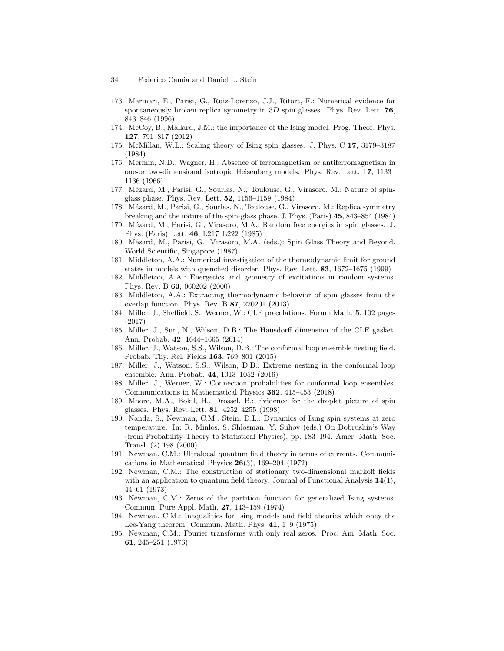- <span id="page-33-4"></span>173. Marinari, E., Parisi, G., Ruiz-Lorenzo, J.J., Ritort, F.: Numerical evidence for spontaneously broken replica symmetry in  $3D$  spin glasses. Phys. Rev. Lett. **76**, 843–846 (1996)
- <span id="page-33-22"></span>174. McCoy, B., Mallard, J.M.: the importance of the Ising model. Prog. Theor. Phys. 127, 791–817 (2012)
- <span id="page-33-13"></span><span id="page-33-3"></span>175. McMillan, W.L.: Scaling theory of Ising spin glasses. J. Phys. C 17, 3179–3187 (1984)
- 176. Mermin, N.D., Wagner, H.: Absence of ferromagnetism or antiferromagnetism in one-or two-dimensional isotropic Heisenberg models. Phys. Rev. Lett. 17, 1133– 1136 (1966)
- <span id="page-33-0"></span>177. Mézard, M., Parisi, G., Sourlas, N., Toulouse, G., Virasoro, M.: Nature of spinglass phase. Phys. Rev. Lett. 52, 1156–1159 (1984)
- <span id="page-33-1"></span>178. Mézard, M., Parisi, G., Sourlas, N., Toulouse, G., Virasoro, M.: Replica symmetry breaking and the nature of the spin-glass phase. J. Phys. (Paris) 45, 843–854 (1984)
- <span id="page-33-9"></span>179. Mézard, M., Parisi, G., Virasoro, M.A.: Random free energies in spin glasses. J. Phys. (Paris) Lett. 46, L217–L222 (1985)
- <span id="page-33-2"></span>180. Mézard, M., Parisi, G., Virasoro, M.A. (eds.): Spin Glass Theory and Beyond. World Scientific, Singapore (1987)
- <span id="page-33-6"></span>181. Middleton, A.A.: Numerical investigation of the thermodynamic limit for ground states in models with quenched disorder. Phys. Rev. Lett. 83, 1672–1675 (1999)
- <span id="page-33-7"></span>182. Middleton, A.A.: Energetics and geometry of excitations in random systems. Phys. Rev. B 63, 060202 (2000)
- <span id="page-33-8"></span>183. Middleton, A.A.: Extracting thermodynamic behavior of spin glasses from the overlap function. Phys. Rev. B 87, 220201 (2013)
- <span id="page-33-20"></span>184. Miller, J., Sheffield, S., Werner, W.: CLE precolations. Forum Math. 5, 102 pages (2017)
- <span id="page-33-17"></span>185. Miller, J., Sun, N., Wilson, D.B.: The Hausdorff dimension of the CLE gasket. Ann. Probab. 42, 1644–1665 (2014)
- <span id="page-33-18"></span>186. Miller, J., Watson, S.S., Wilson, D.B.: The conformal loop ensemble nesting field. Probab. Thy. Rel. Fields 163, 769–801 (2015)
- <span id="page-33-19"></span>187. Miller, J., Watson, S.S., Wilson, D.B.: Extreme nesting in the conformal loop ensemble. Ann. Probab. 44, 1013–1052 (2016)
- <span id="page-33-21"></span>188. Miller, J., Werner, W.: Connection probabilities for conformal loop ensembles. Communications in Mathematical Physics 362, 415–453 (2018)
- <span id="page-33-5"></span>189. Moore, M.A., Bokil, H., Drossel, B.: Evidence for the droplet picture of spin glasses. Phys. Rev. Lett. 81, 4252–4255 (1998)
- <span id="page-33-10"></span>190. Nanda, S., Newman, C.M., Stein, D.L.: Dynamics of Ising spin systems at zero temperature. In: R. Minlos, S. Shlosman, Y. Suhov (eds.) On Dobrushin's Way (from Probability Theory to Statistical Physics), pp. 183–194. Amer. Math. Soc. Transl. (2) 198 (2000)
- <span id="page-33-15"></span>191. Newman, C.M.: Ultralocal quantum field theory in terms of currents. Communications in Mathematical Physics 26(3), 169–204 (1972)
- <span id="page-33-16"></span>192. Newman, C.M.: The construction of stationary two-dimensional markoff fields with an application to quantum field theory. Journal of Functional Analysis  $14(1)$ , 44–61 (1973)
- <span id="page-33-12"></span>193. Newman, C.M.: Zeros of the partition function for generalized Ising systems. Commun. Pure Appl. Math. 27, 143–159 (1974)
- <span id="page-33-11"></span>194. Newman, C.M.: Inequalities for Ising models and field theories which obey the Lee-Yang theorem. Commun. Math. Phys. 41, 1–9 (1975)
- <span id="page-33-14"></span>195. Newman, C.M.: Fourier transforms with only real zeros. Proc. Am. Math. Soc. 61, 245–251 (1976)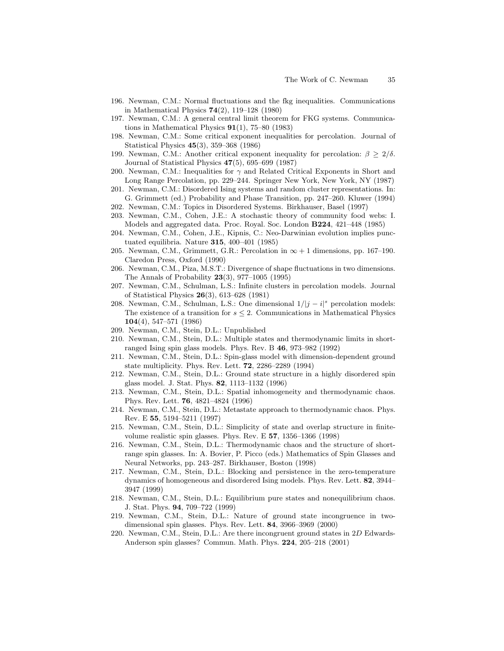- <span id="page-34-24"></span><span id="page-34-23"></span>196. Newman, C.M.: Normal fluctuations and the fkg inequalities. Communications in Mathematical Physics 74(2), 119–128 (1980)
- 197. Newman, C.M.: A general central limit theorem for FKG systems. Communications in Mathematical Physics  $91(1)$ , 75–80 (1983)
- <span id="page-34-18"></span>198. Newman, C.M.: Some critical exponent inequalities for percolation. Journal of Statistical Physics 45(3), 359–368 (1986)
- <span id="page-34-20"></span>199. Newman, C.M.: Another critical exponent inequality for percolation:  $\beta \geq 2/\delta$ . Journal of Statistical Physics 47(5), 695–699 (1987)
- <span id="page-34-19"></span>200. Newman, C.M.: Inequalities for  $\gamma$  and Related Critical Exponents in Short and Long Range Percolation, pp. 229–244. Springer New York, New York, NY (1987)
- <span id="page-34-10"></span>201. Newman, C.M.: Disordered Ising systems and random cluster representations. In: G. Grimmett (ed.) Probability and Phase Transition, pp. 247–260. Kluwer (1994)
- <span id="page-34-22"></span><span id="page-34-13"></span>202. Newman, C.M.: Topics in Disordered Systems. Birkhauser, Basel (1997)
- 203. Newman, C.M., Cohen, J.E.: A stochastic theory of community food webs: I. Models and aggregated data. Proc. Royal. Soc. London B224, 421–448 (1985)
- <span id="page-34-12"></span>204. Newman, C.M., Cohen, J.E., Kipnis, C.: Neo-Darwinian evolution implies punctuated equilibria. Nature 315, 400–401 (1985)
- <span id="page-34-21"></span><span id="page-34-16"></span>205. Newman, C.M., Grimmett, G.R.: Percolation in  $\infty + 1$  dimensions, pp. 167–190. Claredon Press, Oxford (1990)
- 206. Newman, C.M., Piza, M.S.T.: Divergence of shape fluctuations in two dimensions. The Annals of Probability  $23(3)$ ,  $977-1005$  (1995)
- <span id="page-34-15"></span>207. Newman, C.M., Schulman, L.S.: Infinite clusters in percolation models. Journal of Statistical Physics 26(3), 613–628 (1981)
- <span id="page-34-17"></span>208. Newman, C.M., Schulman, L.S.: One dimensional  $1/|j - i|^s$  percolation models: The existence of a transition for  $s \leq 2$ . Communications in Mathematical Physics 104(4), 547–571 (1986)
- <span id="page-34-7"></span><span id="page-34-3"></span>209. Newman, C.M., Stein, D.L.: Unpublished
- 210. Newman, C.M., Stein, D.L.: Multiple states and thermodynamic limits in shortranged Ising spin glass models. Phys. Rev. B 46, 973–982 (1992)
- <span id="page-34-8"></span>211. Newman, C.M., Stein, D.L.: Spin-glass model with dimension-dependent ground state multiplicity. Phys. Rev. Lett. 72, 2286–2289 (1994)
- <span id="page-34-9"></span>212. Newman, C.M., Stein, D.L.: Ground state structure in a highly disordered spin glass model. J. Stat. Phys. 82, 1113–1132 (1996)
- <span id="page-34-4"></span>213. Newman, C.M., Stein, D.L.: Spatial inhomogeneity and thermodynamic chaos. Phys. Rev. Lett. 76, 4821–4824 (1996)
- <span id="page-34-0"></span>214. Newman, C.M., Stein, D.L.: Metastate approach to thermodynamic chaos. Phys. Rev. E 55, 5194–5211 (1997)
- <span id="page-34-2"></span>215. Newman, C.M., Stein, D.L.: Simplicity of state and overlap structure in finitevolume realistic spin glasses. Phys. Rev. E 57, 1356–1366 (1998)
- <span id="page-34-1"></span>216. Newman, C.M., Stein, D.L.: Thermodynamic chaos and the structure of shortrange spin glasses. In: A. Bovier, P. Picco (eds.) Mathematics of Spin Glasses and Neural Networks, pp. 243–287. Birkhauser, Boston (1998)
- <span id="page-34-11"></span>217. Newman, C.M., Stein, D.L.: Blocking and persistence in the zero-temperature dynamics of homogeneous and disordered Ising models. Phys. Rev. Lett. 82, 3944– 3947 (1999)
- <span id="page-34-14"></span>218. Newman, C.M., Stein, D.L.: Equilibrium pure states and nonequilibrium chaos. J. Stat. Phys. 94, 709–722 (1999)
- <span id="page-34-5"></span>219. Newman, C.M., Stein, D.L.: Nature of ground state incongruence in twodimensional spin glasses. Phys. Rev. Lett. 84, 3966–3969 (2000)
- <span id="page-34-6"></span>220. Newman, C.M., Stein, D.L.: Are there incongruent ground states in 2D Edwards-Anderson spin glasses? Commun. Math. Phys. 224, 205–218 (2001)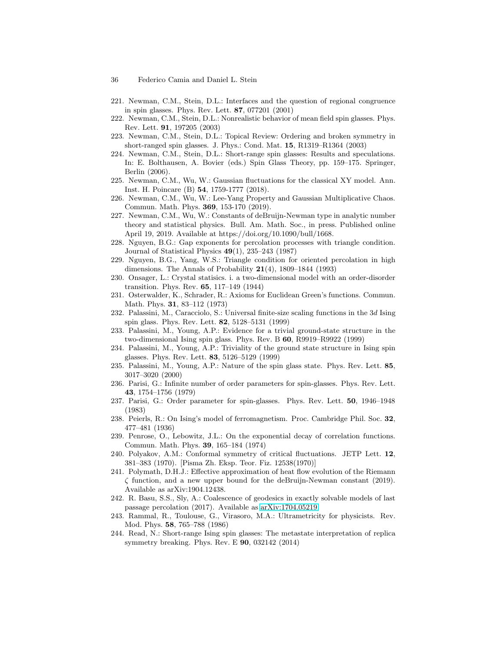- 36 Federico Camia and Daniel L. Stein
- <span id="page-35-10"></span><span id="page-35-9"></span>221. Newman, C.M., Stein, D.L.: Interfaces and the question of regional congruence in spin glasses. Phys. Rev. Lett. 87, 077201 (2001)
- 222. Newman, C.M., Stein, D.L.: Nonrealistic behavior of mean field spin glasses. Phys. Rev. Lett. 91, 197205 (2003)
- <span id="page-35-8"></span><span id="page-35-6"></span>223. Newman, C.M., Stein, D.L.: Topical Review: Ordering and broken symmetry in short-ranged spin glasses. J. Phys.: Cond. Mat. 15, R1319–R1364 (2003)
- 224. Newman, C.M., Stein, D.L.: Short-range spin glasses: Results and speculations. In: E. Bolthausen, A. Bovier (eds.) Spin Glass Theory, pp. 159–175. Springer, Berlin (2006).
- <span id="page-35-13"></span>225. Newman, C.M., Wu, W.: Gaussian fluctuations for the classical XY model. Ann. Inst. H. Poincare (B) 54, 1759-1777 (2018).
- <span id="page-35-14"></span>226. Newman, C.M., Wu, W.: Lee-Yang Property and Gaussian Multiplicative Chaos. Commun. Math. Phys. 369, 153-170 (2019).
- <span id="page-35-16"></span>227. Newman, C.M., Wu, W.: Constants of deBruijn-Newman type in analytic number theory and statistical physics. Bull. Am. Math. Soc., in press. Published online April 19, 2019. Available at https://doi.org/10.1090/bull/1668.
- <span id="page-35-19"></span>228. Nguyen, B.G.: Gap exponents for percolation processes with triangle condition. Journal of Statistical Physics 49(1), 235–243 (1987)
- <span id="page-35-20"></span>229. Nguyen, B.G., Yang, W.S.: Triangle condition for oriented percolation in high dimensions. The Annals of Probability  $21(4)$ , 1809–1844 (1993)
- <span id="page-35-18"></span>230. Onsager, L.: Crystal statisics. i. a two-dimensional model with an order-disorder transition. Phys. Rev. 65, 117–149 (1944)
- <span id="page-35-23"></span>231. Osterwalder, K., Schrader, R.: Axioms for Euclidean Green's functions. Commun. Math. Phys. 31, 83–112 (1973)
- <span id="page-35-11"></span>232. Palassini, M., Caracciolo, S.: Universal finite-size scaling functions in the 3d Ising spin glass. Phys. Rev. Lett. 82, 5128–5131 (1999)
- <span id="page-35-2"></span>233. Palassini, M., Young, A.P.: Evidence for a trivial ground-state structure in the two-dimensional Ising spin glass. Phys. Rev. B 60, R9919–R9922 (1999)
- <span id="page-35-3"></span>234. Palassini, M., Young, A.P.: Triviality of the ground state structure in Ising spin glasses. Phys. Rev. Lett. 83, 5126–5129 (1999)
- <span id="page-35-4"></span>235. Palassini, M., Young, A.P.: Nature of the spin glass state. Phys. Rev. Lett. 85, 3017–3020 (2000)
- <span id="page-35-0"></span>236. Parisi, G.: Infinite number of order parameters for spin-glasses. Phys. Rev. Lett. 43, 1754–1756 (1979)
- <span id="page-35-1"></span>237. Parisi, G.: Order parameter for spin-glasses. Phys. Rev. Lett. 50, 1946–1948 (1983)
- <span id="page-35-17"></span>238. Peierls, R.: On Ising's model of ferromagnetism. Proc. Cambridge Phil. Soc. 32, 477–481 (1936)
- <span id="page-35-12"></span>239. Penrose, O., Lebowitz, J.L.: On the exponential decay of correlation functions. Commun. Math. Phys. 39, 165–184 (1974)
- <span id="page-35-22"></span>240. Polyakov, A.M.: Conformal symmetry of critical fluctuations. JETP Lett. 12, 381–383 (1970). [Pisma Zh. Eksp. Teor. Fiz. 12538(1970)]
- <span id="page-35-15"></span>241. Polymath, D.H.J.: Effective approximation of heat flow evolution of the Riemann  $\zeta$  function, and a new upper bound for the deBruijn-Newman constant (2019). Available as arXiv:1904.12438.
- <span id="page-35-21"></span>242. R. Basu, S.S., Sly, A.: Coalescence of geodesics in exactly solvable models of last passage percolation (2017). Available as [arXiv:1704.05219](http://arxiv.org/abs/1704.05219)
- <span id="page-35-5"></span>243. Rammal, R., Toulouse, G., Virasoro, M.A.: Ultrametricity for physicists. Rev. Mod. Phys. 58, 765–788 (1986)
- <span id="page-35-7"></span>244. Read, N.: Short-range Ising spin glasses: The metastate interpretation of replica symmetry breaking. Phys. Rev. E 90, 032142 (2014)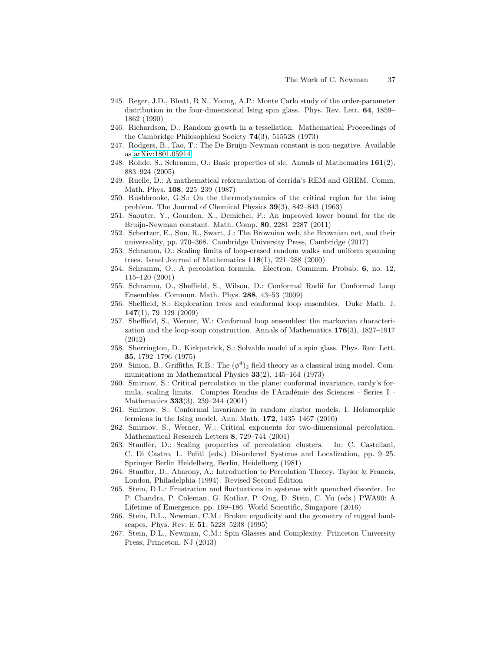- <span id="page-36-0"></span>245. Reger, J.D., Bhatt, R.N., Young, A.P.: Monte Carlo study of the order-parameter distribution in the four-dimensional Ising spin glass. Phys. Rev. Lett. 64, 1859– 1862 (1990)
- <span id="page-36-12"></span>246. Richardson, D.: Random growth in a tessellation. Mathematical Proceedings of the Cambridge Philosophical Society 74(3), 515528 (1973)
- <span id="page-36-15"></span><span id="page-36-7"></span>247. Rodgers, B., Tao, T.: The De Bruijn-Newman constant is non-negative. Available as [arXiv:1801.05914](http://arxiv.org/abs/1801.05914)
- 248. Rohde, S., Schramm, O.: Basic properties of sle. Annals of Mathematics 161(2), 883–924 (2005)
- <span id="page-36-2"></span>249. Ruelle, D.: A mathematical reformulation of derrida's REM and GREM. Comm. Math. Phys. 108, 225–239 (1987)
- <span id="page-36-10"></span>250. Rushbrooke, G.S.: On the thermodynamics of the critical region for the ising problem. The Journal of Chemical Physics 39(3), 842–843 (1963)
- <span id="page-36-6"></span>251. Saouter, Y., Gourdon, X., Demichel, P.: An improved lower bound for the de Bruijn-Newman constant. Math. Comp. 80, 2281–2287 (2011)
- <span id="page-36-8"></span>252. Schertzer, E., Sun, R., Swart, J.: The Brownian web, the Brownian net, and their universality, pp. 270–368. Cambridge University Press, Cambridge (2017)
- <span id="page-36-18"></span><span id="page-36-14"></span>253. Schramm, O.: Scaling limits of loop-erased random walks and uniform spanning trees. Israel Journal of Mathematics  $118(1)$ ,  $221-288$  (2000)
- 254. Schramm, O.: A percolation formula. Electron. Commun. Probab. 6, no. 12, 115–120 (2001)
- <span id="page-36-21"></span>255. Schramm, O., Sheffield, S., Wilson, D.: Conformal Radii for Conformal Loop Ensembles. Commun. Math. Phys. 288, 43–53 (2009)
- <span id="page-36-19"></span>256. Sheffield, S.: Exploration trees and conformal loop ensembles. Duke Math. J. 147(1), 79–129 (2009)
- <span id="page-36-20"></span>257. Sheffield, S., Werner, W.: Conformal loop ensembles: the markovian characterization and the loop-soup construction. Annals of Mathematics 176(3), 1827–1917 (2012)
- <span id="page-36-3"></span>258. Sherrington, D., Kirkpatrick, S.: Solvable model of a spin glass. Phys. Rev. Lett. 35, 1792–1796 (1975)
- <span id="page-36-13"></span>259. Simon, B., Griffiths, R.B.: The  $(\phi^4)_2$  field theory as a classical ising model. Communications in Mathematical Physics  $33(2)$ , 145–164 (1973)
- <span id="page-36-17"></span>260. Smirnov, S.: Critical percolation in the plane: conformal invariance, cardy's formula, scaling limits. Comptes Rendus de l'Académie des Sciences - Series I -Mathematics 333(3), 239–244 (2001)
- <span id="page-36-22"></span>261. Smirnov, S.: Conformal invariance in random cluster models. I. Holomorphic fermions in the Ising model. Ann. Math. 172, 1435–1467 (2010)
- <span id="page-36-16"></span>262. Smirnov, S., Werner, W.: Critical exponents for two-dimensional percolation. Mathematical Research Letters 8, 729–744 (2001)
- <span id="page-36-11"></span>263. Stauffer, D.: Scaling properties of percolation clusters. In: C. Castellani, C. Di Castro, L. Peliti (eds.) Disordered Systems and Localization, pp. 9–25. Springer Berlin Heidelberg, Berlin, Heidelberg (1981)
- <span id="page-36-9"></span>264. Stauffer, D., Aharony, A.: Introduction to Percolation Theory. Taylor & Francis, London, Philadelphia (1994). Revised Second Edition
- <span id="page-36-4"></span>265. Stein, D.L.: Frustration and fluctuations in systems with quenched disorder. In: P. Chandra, P. Coleman, G. Kotliar, P. Ong, D. Stein, C. Yu (eds.) PWA90: A Lifetime of Emergence, pp. 169–186. World Scientific, Singapore (2016)
- <span id="page-36-5"></span>266. Stein, D.L., Newman, C.M.: Broken ergodicity and the geometry of rugged landscapes. Phys. Rev. E 51, 5228–5238 (1995)
- <span id="page-36-1"></span>267. Stein, D.L., Newman, C.M.: Spin Glasses and Complexity. Princeton University Press, Princeton, NJ (2013)